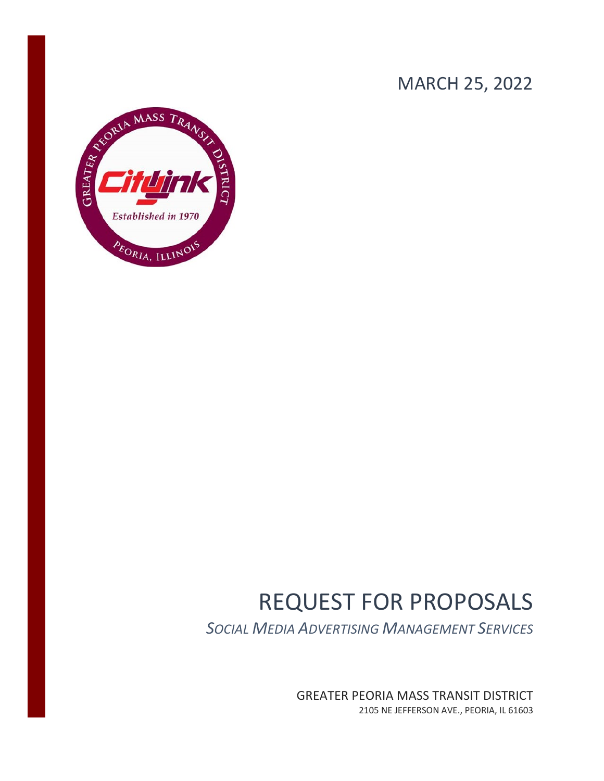## MARCH 25, 2022



# REQUEST FOR PROPOSALS

*SOCIAL MEDIA ADVERTISING MANAGEMENT SERVICES*

GREATER PEORIA MASS TRANSIT DISTRICT 2105 NE JEFFERSON AVE., PEORIA, IL 61603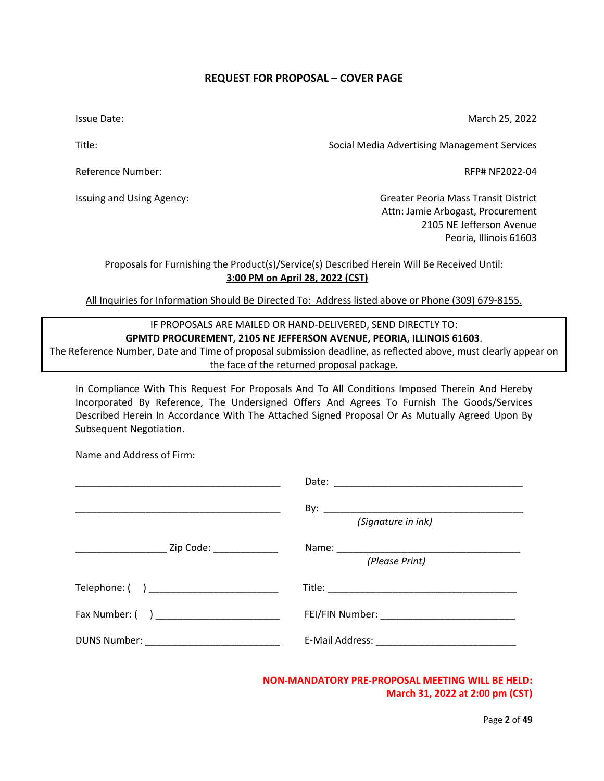#### **REQUEST FOR PROPOSAL – COVER PAGE**

<span id="page-1-0"></span>Issue Date:

March 25, 2022

Title:

Reference Number:

Issuing and Using Agency:

Social Media Advertising Management Services

RFP# NF2022-04

Greater Peoria Mass Transit District Attn: Jamie Arbogast, Procurement 2105 NE Jefferson Avenue Peoria, Illinois 61603

Proposals for Furnishing the Product(s)/Service(s) Described Herein Will Be Received Until: **3:00 PM on April 28, 2022 (CST)**

All Inquiries for Information Should Be Directed To: Address listed above or Phone (309) 679-8155.

#### IF PROPOSALS ARE MAILED OR HAND-DELIVERED, SEND DIRECTLY TO: **GPMTD PROCUREMENT, 2105 NE JEFFERSON AVENUE, PEORIA, ILLINOIS 61603**.

The Reference Number, Date and Time of proposal submission deadline, as reflected above, must clearly appear on the face of the returned proposal package.

In Compliance With This Request For Proposals And To All Conditions Imposed Therein And Hereby Incorporated By Reference, The Undersigned Offers And Agrees To Furnish The Goods/Services Described Herein In Accordance With The Attached Signed Proposal Or As Mutually Agreed Upon By Subsequent Negotiation.

Name and Address of Firm:

|                                                          | (Signature in ink) |
|----------------------------------------------------------|--------------------|
| ____________________________ Zip Code: _________________ | (Please Print)     |
|                                                          |                    |
| Fax Number: ( ) _________________________                |                    |
| DUNS Number: ________________________________            |                    |

**NON-MANDATORY PRE-PROPOSAL MEETING WILL BE HELD: March 31, 2022 at 2:00 pm (CST)**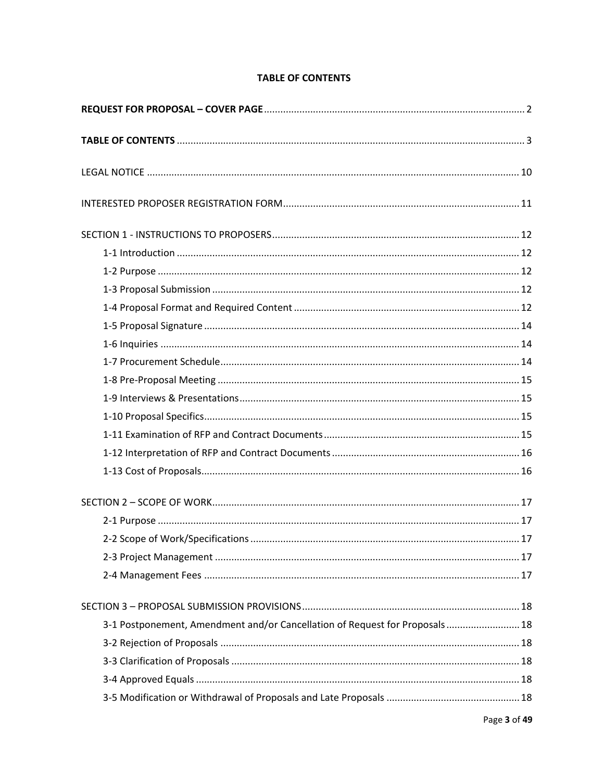## **TABLE OF CONTENTS**

<span id="page-2-0"></span>

| 3-1 Postponement, Amendment and/or Cancellation of Request for Proposals 18 |  |
|-----------------------------------------------------------------------------|--|
|                                                                             |  |
|                                                                             |  |
|                                                                             |  |
|                                                                             |  |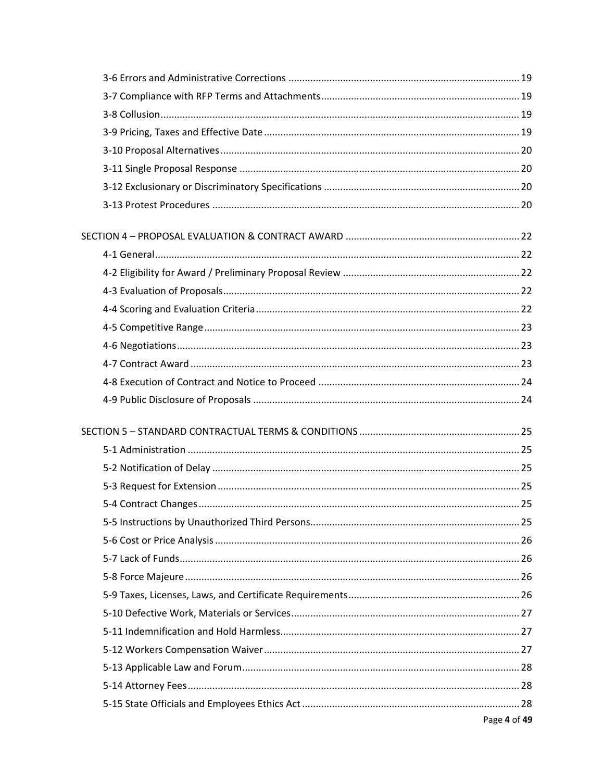| Page 4 of 49 |
|--------------|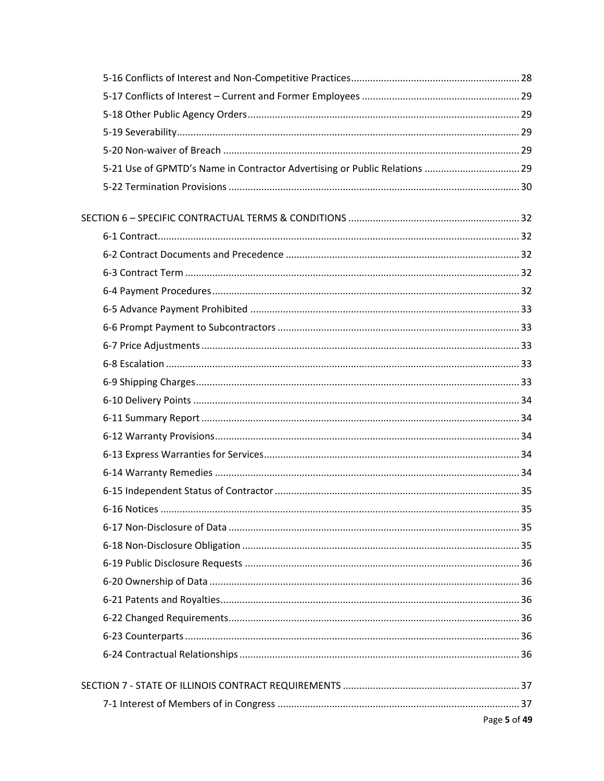| 5-21 Use of GPMTD's Name in Contractor Advertising or Public Relations  29 |              |
|----------------------------------------------------------------------------|--------------|
|                                                                            |              |
|                                                                            |              |
|                                                                            |              |
|                                                                            |              |
|                                                                            |              |
|                                                                            |              |
|                                                                            |              |
|                                                                            |              |
|                                                                            |              |
|                                                                            |              |
|                                                                            |              |
|                                                                            |              |
|                                                                            |              |
|                                                                            |              |
|                                                                            |              |
|                                                                            |              |
|                                                                            |              |
|                                                                            |              |
|                                                                            |              |
|                                                                            |              |
|                                                                            |              |
|                                                                            |              |
|                                                                            |              |
|                                                                            |              |
|                                                                            |              |
|                                                                            |              |
|                                                                            |              |
|                                                                            |              |
|                                                                            | Page 5 of 49 |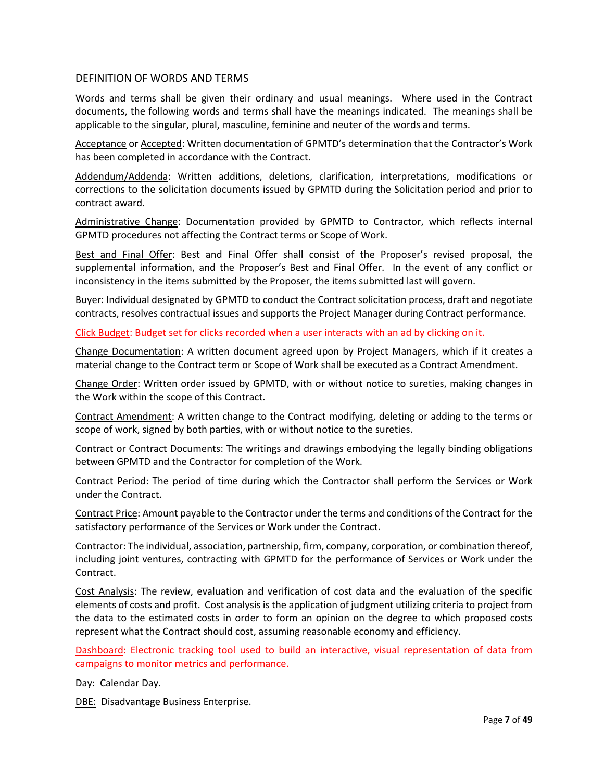#### DEFINITION OF WORDS AND TERMS

Words and terms shall be given their ordinary and usual meanings. Where used in the Contract documents, the following words and terms shall have the meanings indicated. The meanings shall be applicable to the singular, plural, masculine, feminine and neuter of the words and terms.

Acceptance or Accepted: Written documentation of GPMTD's determination that the Contractor's Work has been completed in accordance with the Contract.

Addendum/Addenda: Written additions, deletions, clarification, interpretations, modifications or corrections to the solicitation documents issued by GPMTD during the Solicitation period and prior to contract award.

Administrative Change: Documentation provided by GPMTD to Contractor, which reflects internal GPMTD procedures not affecting the Contract terms or Scope of Work.

Best and Final Offer: Best and Final Offer shall consist of the Proposer's revised proposal, the supplemental information, and the Proposer's Best and Final Offer. In the event of any conflict or inconsistency in the items submitted by the Proposer, the items submitted last will govern.

Buyer: Individual designated by GPMTD to conduct the Contract solicitation process, draft and negotiate contracts, resolves contractual issues and supports the Project Manager during Contract performance.

Click Budget: Budget set for clicks recorded when a user interacts with an ad by clicking on it.

Change Documentation: A written document agreed upon by Project Managers, which if it creates a material change to the Contract term or Scope of Work shall be executed as a Contract Amendment.

Change Order: Written order issued by GPMTD, with or without notice to sureties, making changes in the Work within the scope of this Contract.

Contract Amendment: A written change to the Contract modifying, deleting or adding to the terms or scope of work, signed by both parties, with or without notice to the sureties.

Contract or Contract Documents: The writings and drawings embodying the legally binding obligations between GPMTD and the Contractor for completion of the Work.

Contract Period: The period of time during which the Contractor shall perform the Services or Work under the Contract.

Contract Price: Amount payable to the Contractor under the terms and conditions of the Contract for the satisfactory performance of the Services or Work under the Contract.

Contractor: The individual, association, partnership, firm, company, corporation, or combination thereof, including joint ventures, contracting with GPMTD for the performance of Services or Work under the Contract.

Cost Analysis: The review, evaluation and verification of cost data and the evaluation of the specific elements of costs and profit. Cost analysis is the application of judgment utilizing criteria to project from the data to the estimated costs in order to form an opinion on the degree to which proposed costs represent what the Contract should cost, assuming reasonable economy and efficiency.

Dashboard: Electronic tracking tool used to build an interactive, visual representation of data from campaigns to monitor metrics and performance.

Day: Calendar Day.

DBE: Disadvantage Business Enterprise.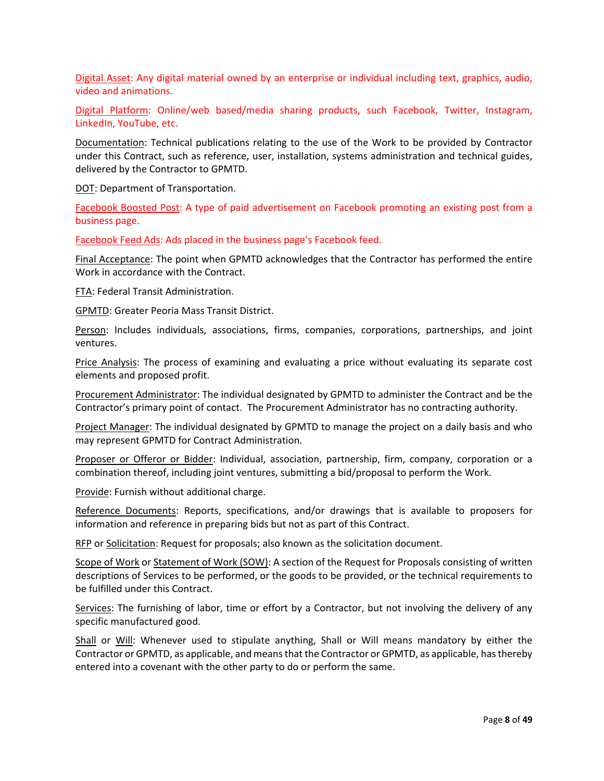Digital Asset: Any digital material owned by an enterprise or individual including text, graphics, audio, video and animations.

Digital Platform: Online/web based/media sharing products, such Facebook, Twitter, Instagram, LinkedIn, YouTube, etc.

Documentation: Technical publications relating to the use of the Work to be provided by Contractor under this Contract, such as reference, user, installation, systems administration and technical guides, delivered by the Contractor to GPMTD.

DOT: Department of Transportation.

Facebook Boosted Post: A type of paid advertisement on Facebook promoting an existing post from a business page.

Facebook Feed Ads: Ads placed in the business page's Facebook feed.

Final Acceptance: The point when GPMTD acknowledges that the Contractor has performed the entire Work in accordance with the Contract.

FTA: Federal Transit Administration.

GPMTD: Greater Peoria Mass Transit District.

Person: Includes individuals, associations, firms, companies, corporations, partnerships, and joint ventures.

Price Analysis: The process of examining and evaluating a price without evaluating its separate cost elements and proposed profit.

Procurement Administrator: The individual designated by GPMTD to administer the Contract and be the Contractor's primary point of contact. The Procurement Administrator has no contracting authority.

Project Manager: The individual designated by GPMTD to manage the project on a daily basis and who may represent GPMTD for Contract Administration.

Proposer or Offeror or Bidder: Individual, association, partnership, firm, company, corporation or a combination thereof, including joint ventures, submitting a bid/proposal to perform the Work.

Provide: Furnish without additional charge.

Reference Documents: Reports, specifications, and/or drawings that is available to proposers for information and reference in preparing bids but not as part of this Contract.

RFP or Solicitation: Request for proposals; also known as the solicitation document.

Scope of Work or Statement of Work (SOW): A section of the Request for Proposals consisting of written descriptions of Services to be performed, or the goods to be provided, or the technical requirements to be fulfilled under this Contract.

Services: The furnishing of labor, time or effort by a Contractor, but not involving the delivery of any specific manufactured good.

Shall or Will: Whenever used to stipulate anything, Shall or Will means mandatory by either the Contractor or GPMTD, as applicable, and means that the Contractor or GPMTD, as applicable, has thereby entered into a covenant with the other party to do or perform the same.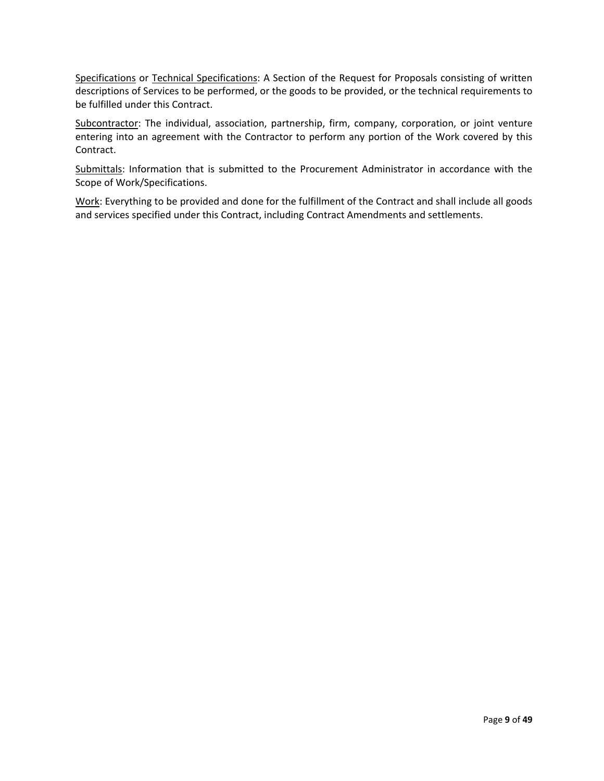Specifications or Technical Specifications: A Section of the Request for Proposals consisting of written descriptions of Services to be performed, or the goods to be provided, or the technical requirements to be fulfilled under this Contract.

Subcontractor: The individual, association, partnership, firm, company, corporation, or joint venture entering into an agreement with the Contractor to perform any portion of the Work covered by this Contract.

Submittals: Information that is submitted to the Procurement Administrator in accordance with the Scope of Work/Specifications.

Work: Everything to be provided and done for the fulfillment of the Contract and shall include all goods and services specified under this Contract, including Contract Amendments and settlements.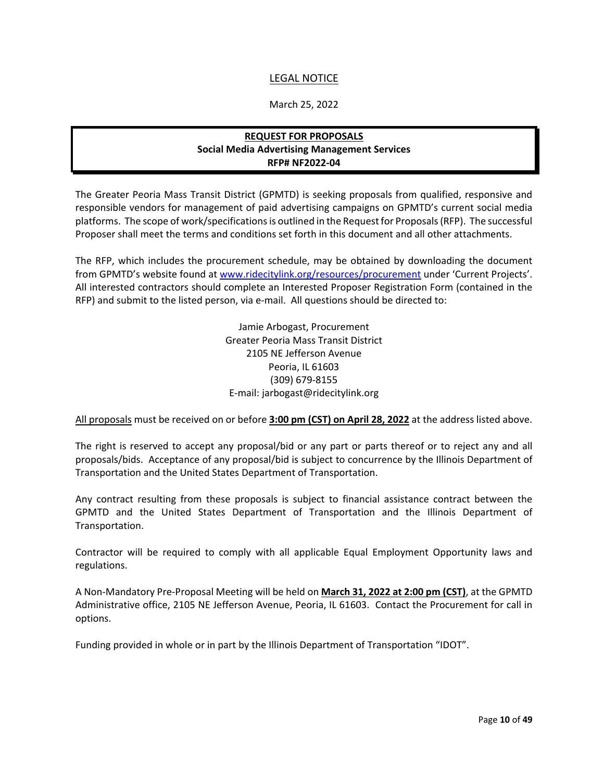## LEGAL NOTICE

#### March 25, 2022

## **REQUEST FOR PROPOSALS Social Media Advertising Management Services RFP# NF2022-04**

<span id="page-9-0"></span>The Greater Peoria Mass Transit District (GPMTD) is seeking proposals from qualified, responsive and responsible vendors for management of paid advertising campaigns on GPMTD's current social media platforms. The scope of work/specifications is outlined in the Request for Proposals (RFP). The successful Proposer shall meet the terms and conditions set forth in this document and all other attachments.

The RFP, which includes the procurement schedule, may be obtained by downloading the document from GPMTD's website found at [www.ridecitylink.org/resources/procurement](http://www.ridecitylink.org/resources/procurement) under 'Current Projects'. All interested contractors should complete an Interested Proposer Registration Form (contained in the RFP) and submit to the listed person, via e-mail. All questions should be directed to:

> Jamie Arbogast, Procurement Greater Peoria Mass Transit District 2105 NE Jefferson Avenue Peoria, IL 61603 (309) 679-8155 E-mail: jarbogast@ridecitylink.org

All proposals must be received on or before **3:00 pm (CST) on April 28, 2022** at the address listed above.

The right is reserved to accept any proposal/bid or any part or parts thereof or to reject any and all proposals/bids. Acceptance of any proposal/bid is subject to concurrence by the Illinois Department of Transportation and the United States Department of Transportation.

Any contract resulting from these proposals is subject to financial assistance contract between the GPMTD and the United States Department of Transportation and the Illinois Department of Transportation.

Contractor will be required to comply with all applicable Equal Employment Opportunity laws and regulations.

A Non-Mandatory Pre-Proposal Meeting will be held on **March 31, 2022 at 2:00 pm (CST)**, at the GPMTD Administrative office, 2105 NE Jefferson Avenue, Peoria, IL 61603. Contact the Procurement for call in options.

Funding provided in whole or in part by the Illinois Department of Transportation "IDOT".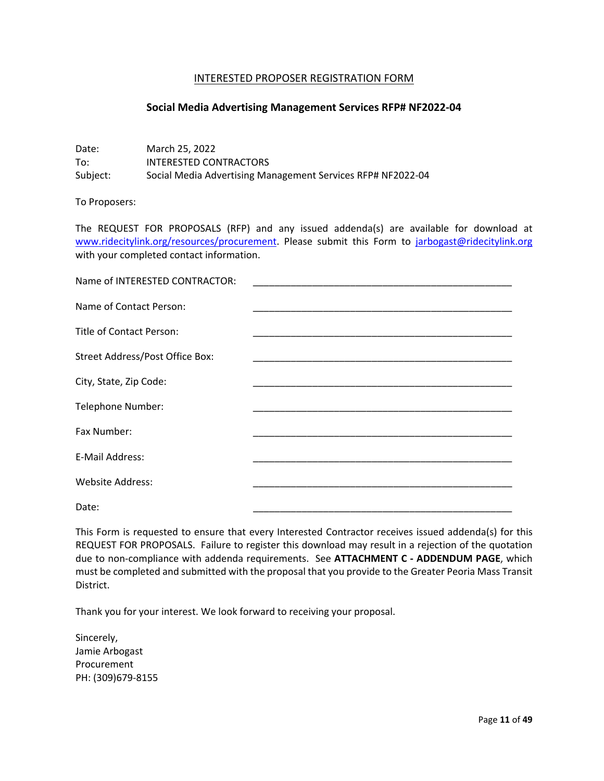#### INTERESTED PROPOSER REGISTRATION FORM

#### **Social Media Advertising Management Services RFP# NF2022-04**

<span id="page-10-0"></span>Date: March 25, 2022 To: INTERESTED CONTRACTORS Subject: Social Media Advertising Management Services RFP# NF2022-04

To Proposers:

The REQUEST FOR PROPOSALS (RFP) and any issued addenda(s) are available for download at [www.ridecitylink.org/resources/procurement.](http://www.ridecitylink.org/resources/procurement) Please submit this Form to [jarbogast@ridecitylink.org](mailto:jarbogast@ridecitylink.org) with your completed contact information.

| Name of INTERESTED CONTRACTOR:  |                                                                                                                       |
|---------------------------------|-----------------------------------------------------------------------------------------------------------------------|
| Name of Contact Person:         | <u> 1989 - Johann John Stone, markin amerikan bahasa dan berasal dalam bahasa dalam bahasa dalam bahasa dalam bah</u> |
| Title of Contact Person:        | the control of the control of the control of                                                                          |
| Street Address/Post Office Box: |                                                                                                                       |
| City, State, Zip Code:          |                                                                                                                       |
| Telephone Number:               |                                                                                                                       |
| Fax Number:                     |                                                                                                                       |
| E-Mail Address:                 |                                                                                                                       |
| <b>Website Address:</b>         |                                                                                                                       |
| Date:                           |                                                                                                                       |

This Form is requested to ensure that every Interested Contractor receives issued addenda(s) for this REQUEST FOR PROPOSALS. Failure to register this download may result in a rejection of the quotation due to non-compliance with addenda requirements. See **ATTACHMENT C - ADDENDUM PAGE**, which must be completed and submitted with the proposal that you provide to the Greater Peoria Mass Transit District.

Thank you for your interest. We look forward to receiving your proposal.

Sincerely, Jamie Arbogast Procurement PH: (309)679-8155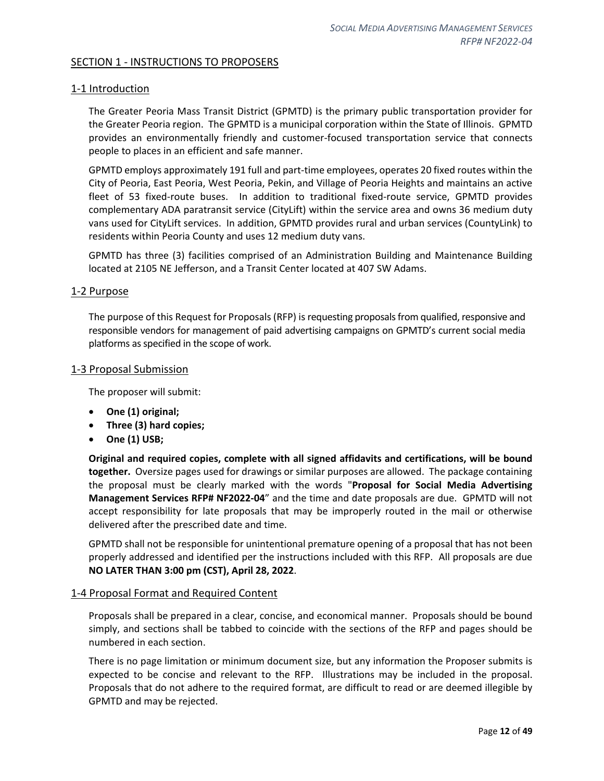#### <span id="page-11-0"></span>SECTION 1 - INSTRUCTIONS TO PROPOSERS

#### <span id="page-11-1"></span>1-1 Introduction

The Greater Peoria Mass Transit District (GPMTD) is the primary public transportation provider for the Greater Peoria region. The GPMTD is a municipal corporation within the State of Illinois. GPMTD provides an environmentally friendly and customer-focused transportation service that connects people to places in an efficient and safe manner.

GPMTD employs approximately 191 full and part-time employees, operates 20 fixed routes within the City of Peoria, East Peoria, West Peoria, Pekin, and Village of Peoria Heights and maintains an active fleet of 53 fixed-route buses. In addition to traditional fixed-route service, GPMTD provides complementary ADA paratransit service (CityLift) within the service area and owns 36 medium duty vans used for CityLift services. In addition, GPMTD provides rural and urban services (CountyLink) to residents within Peoria County and uses 12 medium duty vans.

GPMTD has three (3) facilities comprised of an Administration Building and Maintenance Building located at 2105 NE Jefferson, and a Transit Center located at 407 SW Adams.

#### <span id="page-11-2"></span>1-2 Purpose

The purpose of this Request for Proposals (RFP) is requesting proposals from qualified, responsive and responsible vendors for management of paid advertising campaigns on GPMTD's current social media platforms as specified in the scope of work.

#### <span id="page-11-3"></span>1-3 Proposal Submission

The proposer will submit:

- **One (1) original;**
- **Three (3) hard copies;**
- **One (1) USB;**

**Original and required copies, complete with all signed affidavits and certifications, will be bound together.** Oversize pages used for drawings or similar purposes are allowed. The package containing the proposal must be clearly marked with the words "**Proposal for Social Media Advertising Management Services RFP# NF2022-04**" and the time and date proposals are due. GPMTD will not accept responsibility for late proposals that may be improperly routed in the mail or otherwise delivered after the prescribed date and time.

GPMTD shall not be responsible for unintentional premature opening of a proposal that has not been properly addressed and identified per the instructions included with this RFP. All proposals are due **NO LATER THAN 3:00 pm (CST), April 28, 2022**.

#### <span id="page-11-4"></span>1-4 Proposal Format and Required Content

Proposals shall be prepared in a clear, concise, and economical manner. Proposals should be bound simply, and sections shall be tabbed to coincide with the sections of the RFP and pages should be numbered in each section.

There is no page limitation or minimum document size, but any information the Proposer submits is expected to be concise and relevant to the RFP. Illustrations may be included in the proposal. Proposals that do not adhere to the required format, are difficult to read or are deemed illegible by GPMTD and may be rejected.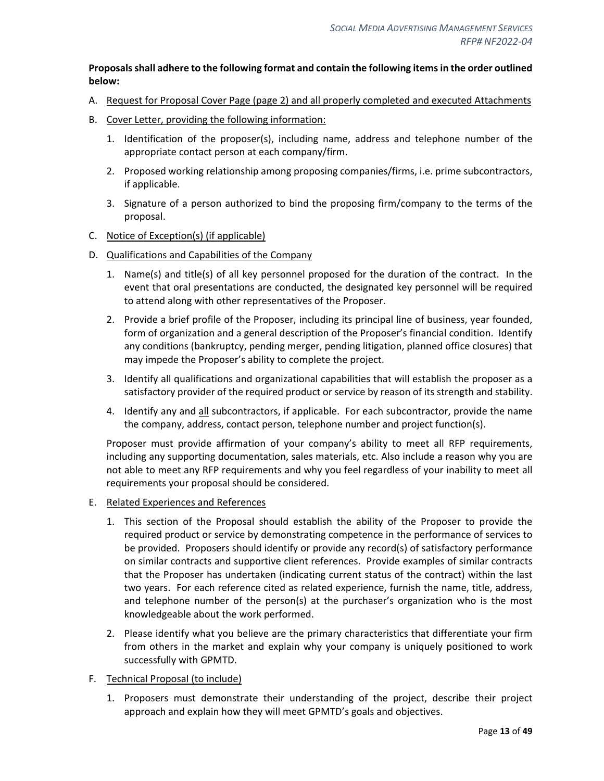#### **Proposals shall adhere to the following format and contain the following items in the order outlined below:**

- A. Request for Proposal Cover Page (page 2) and all properly completed and executed Attachments
- B. Cover Letter, providing the following information:
	- 1. Identification of the proposer(s), including name, address and telephone number of the appropriate contact person at each company/firm.
	- 2. Proposed working relationship among proposing companies/firms, i.e. prime subcontractors, if applicable.
	- 3. Signature of a person authorized to bind the proposing firm/company to the terms of the proposal.
- C. Notice of Exception(s) (if applicable)
- D. Qualifications and Capabilities of the Company
	- 1. Name(s) and title(s) of all key personnel proposed for the duration of the contract. In the event that oral presentations are conducted, the designated key personnel will be required to attend along with other representatives of the Proposer.
	- 2. Provide a brief profile of the Proposer, including its principal line of business, year founded, form of organization and a general description of the Proposer's financial condition. Identify any conditions (bankruptcy, pending merger, pending litigation, planned office closures) that may impede the Proposer's ability to complete the project.
	- 3. Identify all qualifications and organizational capabilities that will establish the proposer as a satisfactory provider of the required product or service by reason of its strength and stability.
	- 4. Identify any and all subcontractors, if applicable. For each subcontractor, provide the name the company, address, contact person, telephone number and project function(s).

Proposer must provide affirmation of your company's ability to meet all RFP requirements, including any supporting documentation, sales materials, etc. Also include a reason why you are not able to meet any RFP requirements and why you feel regardless of your inability to meet all requirements your proposal should be considered.

#### E. Related Experiences and References

- 1. This section of the Proposal should establish the ability of the Proposer to provide the required product or service by demonstrating competence in the performance of services to be provided. Proposers should identify or provide any record(s) of satisfactory performance on similar contracts and supportive client references. Provide examples of similar contracts that the Proposer has undertaken (indicating current status of the contract) within the last two years. For each reference cited as related experience, furnish the name, title, address, and telephone number of the person(s) at the purchaser's organization who is the most knowledgeable about the work performed.
- 2. Please identify what you believe are the primary characteristics that differentiate your firm from others in the market and explain why your company is uniquely positioned to work successfully with GPMTD.
- F. Technical Proposal (to include)
	- 1. Proposers must demonstrate their understanding of the project, describe their project approach and explain how they will meet GPMTD's goals and objectives.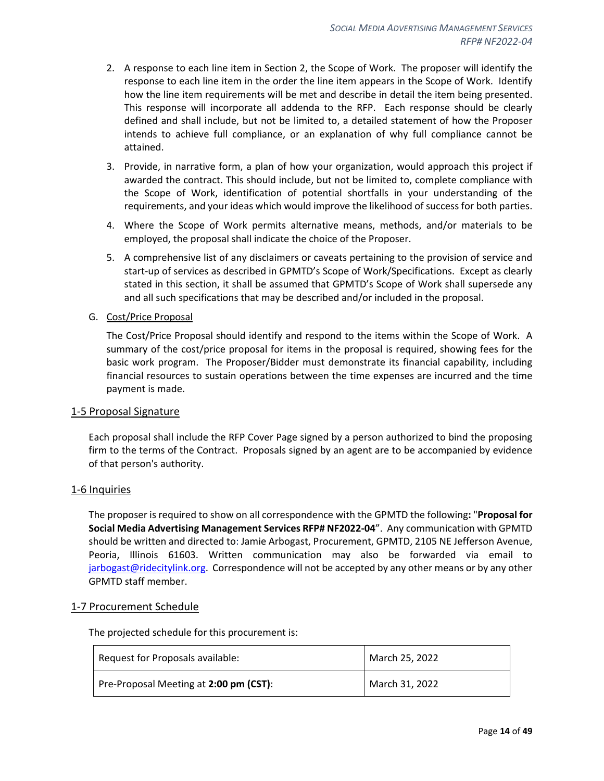- 2. A response to each line item in Section 2, the Scope of Work. The proposer will identify the response to each line item in the order the line item appears in the Scope of Work. Identify how the line item requirements will be met and describe in detail the item being presented. This response will incorporate all addenda to the RFP. Each response should be clearly defined and shall include, but not be limited to, a detailed statement of how the Proposer intends to achieve full compliance, or an explanation of why full compliance cannot be attained.
- 3. Provide, in narrative form, a plan of how your organization, would approach this project if awarded the contract. This should include, but not be limited to, complete compliance with the Scope of Work, identification of potential shortfalls in your understanding of the requirements, and your ideas which would improve the likelihood of success for both parties.
- 4. Where the Scope of Work permits alternative means, methods, and/or materials to be employed, the proposal shall indicate the choice of the Proposer.
- 5. A comprehensive list of any disclaimers or caveats pertaining to the provision of service and start-up of services as described in GPMTD's Scope of Work/Specifications. Except as clearly stated in this section, it shall be assumed that GPMTD's Scope of Work shall supersede any and all such specifications that may be described and/or included in the proposal.
- G. Cost/Price Proposal

The Cost/Price Proposal should identify and respond to the items within the Scope of Work. A summary of the cost/price proposal for items in the proposal is required, showing fees for the basic work program. The Proposer/Bidder must demonstrate its financial capability, including financial resources to sustain operations between the time expenses are incurred and the time payment is made.

#### <span id="page-13-0"></span>1-5 Proposal Signature

Each proposal shall include the RFP Cover Page signed by a person authorized to bind the proposing firm to the terms of the Contract. Proposals signed by an agent are to be accompanied by evidence of that person's authority.

#### <span id="page-13-1"></span>1-6 Inquiries

The proposer is required to show on all correspondence with the GPMTD the following**:** "**Proposal for Social Media Advertising Management Services RFP# NF2022-04**". Any communication with GPMTD should be written and directed to: Jamie Arbogast, Procurement, GPMTD, 2105 NE Jefferson Avenue, Peoria, Illinois 61603. Written communication may also be forwarded via email to [jarbogast@ridecitylink.org.](mailto:jarbogast@ridecitylink.org) Correspondence will not be accepted by any other means or by any other GPMTD staff member.

#### <span id="page-13-2"></span>1-7 Procurement Schedule

The projected schedule for this procurement is:

| Request for Proposals available:       | March 25, 2022 |
|----------------------------------------|----------------|
| Pre-Proposal Meeting at 2:00 pm (CST): | March 31, 2022 |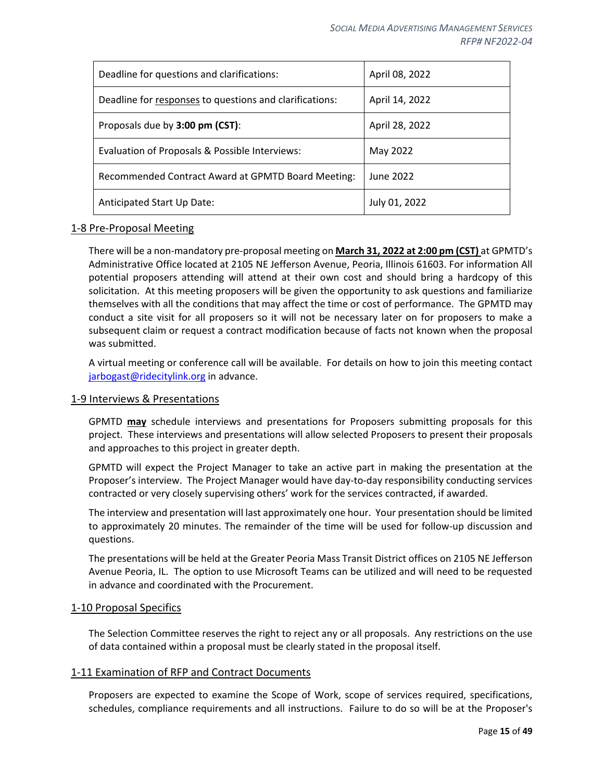| Deadline for questions and clarifications:              | April 08, 2022 |
|---------------------------------------------------------|----------------|
| Deadline for responses to questions and clarifications: | April 14, 2022 |
| Proposals due by 3:00 pm (CST):                         | April 28, 2022 |
| Evaluation of Proposals & Possible Interviews:          | May 2022       |
| Recommended Contract Award at GPMTD Board Meeting:      | June 2022      |
| Anticipated Start Up Date:                              | July 01, 2022  |

#### <span id="page-14-0"></span>1-8 Pre-Proposal Meeting

There will be a non-mandatory pre-proposal meeting on **March 31, 2022 at 2:00 pm (CST)** at GPMTD's Administrative Office located at 2105 NE Jefferson Avenue, Peoria, Illinois 61603. For information All potential proposers attending will attend at their own cost and should bring a hardcopy of this solicitation. At this meeting proposers will be given the opportunity to ask questions and familiarize themselves with all the conditions that may affect the time or cost of performance. The GPMTD may conduct a site visit for all proposers so it will not be necessary later on for proposers to make a subsequent claim or request a contract modification because of facts not known when the proposal was submitted.

A virtual meeting or conference call will be available. For details on how to join this meeting contact [jarbogast@ridecitylink.org](mailto:jarbogast@ridecitylink.org) in advance.

#### <span id="page-14-1"></span>1-9 Interviews & Presentations

GPMTD **may** schedule interviews and presentations for Proposers submitting proposals for this project. These interviews and presentations will allow selected Proposers to present their proposals and approaches to this project in greater depth.

GPMTD will expect the Project Manager to take an active part in making the presentation at the Proposer's interview. The Project Manager would have day-to-day responsibility conducting services contracted or very closely supervising others' work for the services contracted, if awarded.

The interview and presentation will last approximately one hour. Your presentation should be limited to approximately 20 minutes. The remainder of the time will be used for follow-up discussion and questions.

The presentations will be held at the Greater Peoria Mass Transit District offices on 2105 NE Jefferson Avenue Peoria, IL. The option to use Microsoft Teams can be utilized and will need to be requested in advance and coordinated with the Procurement.

#### <span id="page-14-2"></span>1-10 Proposal Specifics

The Selection Committee reserves the right to reject any or all proposals. Any restrictions on the use of data contained within a proposal must be clearly stated in the proposal itself.

#### <span id="page-14-3"></span>1-11 Examination of RFP and Contract Documents

Proposers are expected to examine the Scope of Work, scope of services required, specifications, schedules, compliance requirements and all instructions. Failure to do so will be at the Proposer's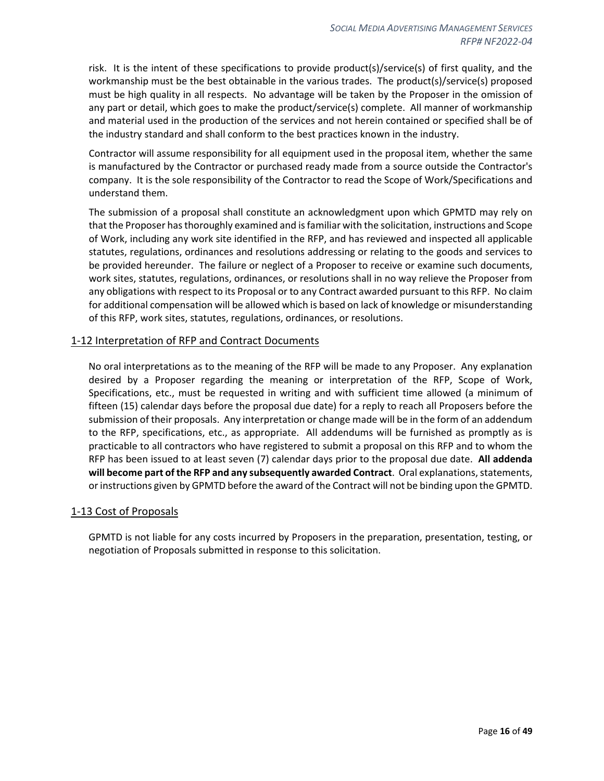risk. It is the intent of these specifications to provide product(s)/service(s) of first quality, and the workmanship must be the best obtainable in the various trades. The product(s)/service(s) proposed must be high quality in all respects. No advantage will be taken by the Proposer in the omission of any part or detail, which goes to make the product/service(s) complete. All manner of workmanship and material used in the production of the services and not herein contained or specified shall be of the industry standard and shall conform to the best practices known in the industry.

Contractor will assume responsibility for all equipment used in the proposal item, whether the same is manufactured by the Contractor or purchased ready made from a source outside the Contractor's company. It is the sole responsibility of the Contractor to read the Scope of Work/Specifications and understand them.

The submission of a proposal shall constitute an acknowledgment upon which GPMTD may rely on that the Proposer has thoroughly examined and is familiar with the solicitation, instructions and Scope of Work, including any work site identified in the RFP, and has reviewed and inspected all applicable statutes, regulations, ordinances and resolutions addressing or relating to the goods and services to be provided hereunder. The failure or neglect of a Proposer to receive or examine such documents, work sites, statutes, regulations, ordinances, or resolutions shall in no way relieve the Proposer from any obligations with respect to its Proposal or to any Contract awarded pursuant to this RFP. No claim for additional compensation will be allowed which is based on lack of knowledge or misunderstanding of this RFP, work sites, statutes, regulations, ordinances, or resolutions.

#### <span id="page-15-0"></span>1-12 Interpretation of RFP and Contract Documents

No oral interpretations as to the meaning of the RFP will be made to any Proposer. Any explanation desired by a Proposer regarding the meaning or interpretation of the RFP, Scope of Work, Specifications, etc., must be requested in writing and with sufficient time allowed (a minimum of fifteen (15) calendar days before the proposal due date) for a reply to reach all Proposers before the submission of their proposals. Any interpretation or change made will be in the form of an addendum to the RFP, specifications, etc., as appropriate. All addendums will be furnished as promptly as is practicable to all contractors who have registered to submit a proposal on this RFP and to whom the RFP has been issued to at least seven (7) calendar days prior to the proposal due date. **All addenda will become part of the RFP and any subsequently awarded Contract**. Oral explanations, statements, or instructions given by GPMTD before the award of the Contract will not be binding upon the GPMTD.

#### <span id="page-15-1"></span>1-13 Cost of Proposals

GPMTD is not liable for any costs incurred by Proposers in the preparation, presentation, testing, or negotiation of Proposals submitted in response to this solicitation.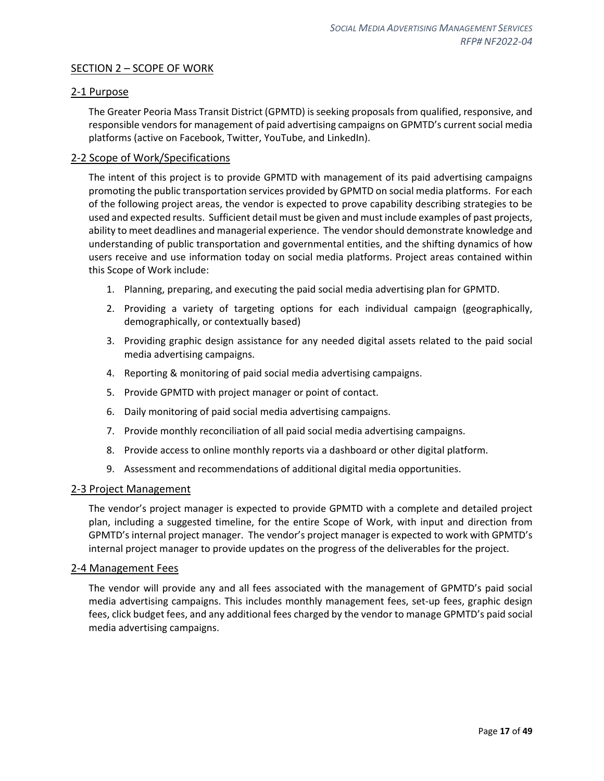## <span id="page-16-0"></span>SECTION 2 - SCOPE OF WORK

#### <span id="page-16-1"></span>2-1 Purpose

The Greater Peoria Mass Transit District (GPMTD) is seeking proposals from qualified, responsive, and responsible vendors for management of paid advertising campaigns on GPMTD's current social media platforms (active on Facebook, Twitter, YouTube, and LinkedIn).

#### <span id="page-16-2"></span>2-2 Scope of Work/Specifications

The intent of this project is to provide GPMTD with management of its paid advertising campaigns promoting the public transportation services provided by GPMTD on social media platforms. For each of the following project areas, the vendor is expected to prove capability describing strategies to be used and expected results. Sufficient detail must be given and must include examples of past projects, ability to meet deadlines and managerial experience. The vendor should demonstrate knowledge and understanding of public transportation and governmental entities, and the shifting dynamics of how users receive and use information today on social media platforms. Project areas contained within this Scope of Work include:

- 1. Planning, preparing, and executing the paid social media advertising plan for GPMTD.
- 2. Providing a variety of targeting options for each individual campaign (geographically, demographically, or contextually based)
- 3. Providing graphic design assistance for any needed digital assets related to the paid social media advertising campaigns.
- 4. Reporting & monitoring of paid social media advertising campaigns.
- 5. Provide GPMTD with project manager or point of contact.
- 6. Daily monitoring of paid social media advertising campaigns.
- 7. Provide monthly reconciliation of all paid social media advertising campaigns.
- 8. Provide access to online monthly reports via a dashboard or other digital platform.
- 9. Assessment and recommendations of additional digital media opportunities.

#### <span id="page-16-3"></span>2-3 Project Management

The vendor's project manager is expected to provide GPMTD with a complete and detailed project plan, including a suggested timeline, for the entire Scope of Work, with input and direction from GPMTD's internal project manager. The vendor's project manager is expected to work with GPMTD's internal project manager to provide updates on the progress of the deliverables for the project.

#### <span id="page-16-4"></span>2-4 Management Fees

The vendor will provide any and all fees associated with the management of GPMTD's paid social media advertising campaigns. This includes monthly management fees, set-up fees, graphic design fees, click budget fees, and any additional fees charged by the vendor to manage GPMTD's paid social media advertising campaigns.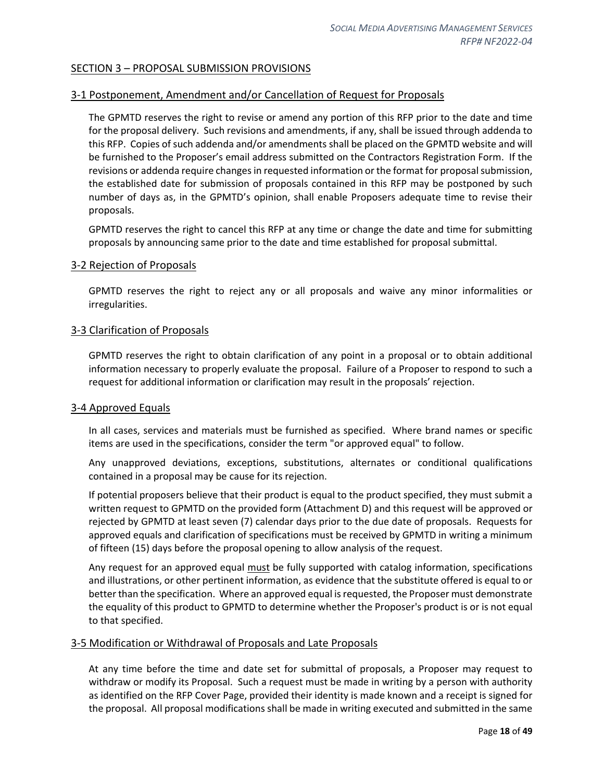## <span id="page-17-0"></span>SECTION 3 – PROPOSAL SUBMISSION PROVISIONS

#### <span id="page-17-1"></span>3-1 Postponement, Amendment and/or Cancellation of Request for Proposals

The GPMTD reserves the right to revise or amend any portion of this RFP prior to the date and time for the proposal delivery. Such revisions and amendments, if any, shall be issued through addenda to this RFP. Copies of such addenda and/or amendments shall be placed on the GPMTD website and will be furnished to the Proposer's email address submitted on the Contractors Registration Form. If the revisions or addenda require changes in requested information or the format for proposal submission, the established date for submission of proposals contained in this RFP may be postponed by such number of days as, in the GPMTD's opinion, shall enable Proposers adequate time to revise their proposals.

GPMTD reserves the right to cancel this RFP at any time or change the date and time for submitting proposals by announcing same prior to the date and time established for proposal submittal.

#### <span id="page-17-2"></span>3-2 Rejection of Proposals

GPMTD reserves the right to reject any or all proposals and waive any minor informalities or irregularities.

#### <span id="page-17-3"></span>3-3 Clarification of Proposals

GPMTD reserves the right to obtain clarification of any point in a proposal or to obtain additional information necessary to properly evaluate the proposal. Failure of a Proposer to respond to such a request for additional information or clarification may result in the proposals' rejection.

#### <span id="page-17-4"></span>3-4 Approved Equals

In all cases, services and materials must be furnished as specified. Where brand names or specific items are used in the specifications, consider the term "or approved equal" to follow.

Any unapproved deviations, exceptions, substitutions, alternates or conditional qualifications contained in a proposal may be cause for its rejection.

If potential proposers believe that their product is equal to the product specified, they must submit a written request to GPMTD on the provided form (Attachment D) and this request will be approved or rejected by GPMTD at least seven (7) calendar days prior to the due date of proposals. Requests for approved equals and clarification of specifications must be received by GPMTD in writing a minimum of fifteen (15) days before the proposal opening to allow analysis of the request.

Any request for an approved equal must be fully supported with catalog information, specifications and illustrations, or other pertinent information, as evidence that the substitute offered is equal to or better than the specification. Where an approved equal is requested, the Proposer must demonstrate the equality of this product to GPMTD to determine whether the Proposer's product is or is not equal to that specified.

#### <span id="page-17-5"></span>3-5 Modification or Withdrawal of Proposals and Late Proposals

At any time before the time and date set for submittal of proposals, a Proposer may request to withdraw or modify its Proposal. Such a request must be made in writing by a person with authority as identified on the RFP Cover Page, provided their identity is made known and a receipt is signed for the proposal. All proposal modifications shall be made in writing executed and submitted in the same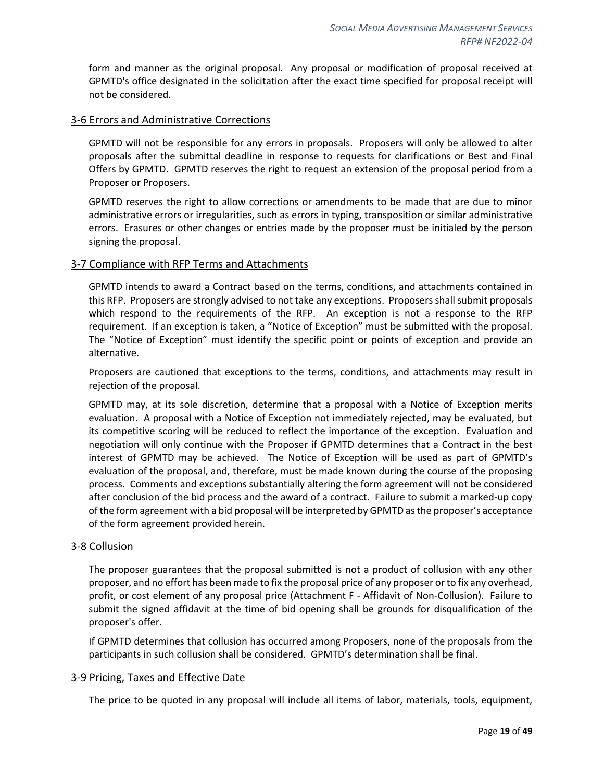form and manner as the original proposal. Any proposal or modification of proposal received at GPMTD's office designated in the solicitation after the exact time specified for proposal receipt will not be considered.

#### <span id="page-18-0"></span>3-6 Errors and Administrative Corrections

GPMTD will not be responsible for any errors in proposals. Proposers will only be allowed to alter proposals after the submittal deadline in response to requests for clarifications or Best and Final Offers by GPMTD. GPMTD reserves the right to request an extension of the proposal period from a Proposer or Proposers.

GPMTD reserves the right to allow corrections or amendments to be made that are due to minor administrative errors or irregularities, such as errors in typing, transposition or similar administrative errors. Erasures or other changes or entries made by the proposer must be initialed by the person signing the proposal.

#### <span id="page-18-1"></span>3-7 Compliance with RFP Terms and Attachments

GPMTD intends to award a Contract based on the terms, conditions, and attachments contained in this RFP. Proposers are strongly advised to not take any exceptions. Proposers shall submit proposals which respond to the requirements of the RFP. An exception is not a response to the RFP requirement. If an exception is taken, a "Notice of Exception" must be submitted with the proposal. The "Notice of Exception" must identify the specific point or points of exception and provide an alternative.

Proposers are cautioned that exceptions to the terms, conditions, and attachments may result in rejection of the proposal.

GPMTD may, at its sole discretion, determine that a proposal with a Notice of Exception merits evaluation. A proposal with a Notice of Exception not immediately rejected, may be evaluated, but its competitive scoring will be reduced to reflect the importance of the exception. Evaluation and negotiation will only continue with the Proposer if GPMTD determines that a Contract in the best interest of GPMTD may be achieved. The Notice of Exception will be used as part of GPMTD's evaluation of the proposal, and, therefore, must be made known during the course of the proposing process. Comments and exceptions substantially altering the form agreement will not be considered after conclusion of the bid process and the award of a contract. Failure to submit a marked-up copy of the form agreement with a bid proposal will be interpreted by GPMTD as the proposer's acceptance of the form agreement provided herein.

#### <span id="page-18-2"></span>3-8 Collusion

The proposer guarantees that the proposal submitted is not a product of collusion with any other proposer, and no effort has been made to fix the proposal price of any proposer or to fix any overhead, profit, or cost element of any proposal price (Attachment F - Affidavit of Non-Collusion). Failure to submit the signed affidavit at the time of bid opening shall be grounds for disqualification of the proposer's offer.

If GPMTD determines that collusion has occurred among Proposers, none of the proposals from the participants in such collusion shall be considered. GPMTD's determination shall be final.

#### <span id="page-18-3"></span>3-9 Pricing, Taxes and Effective Date

The price to be quoted in any proposal will include all items of labor, materials, tools, equipment,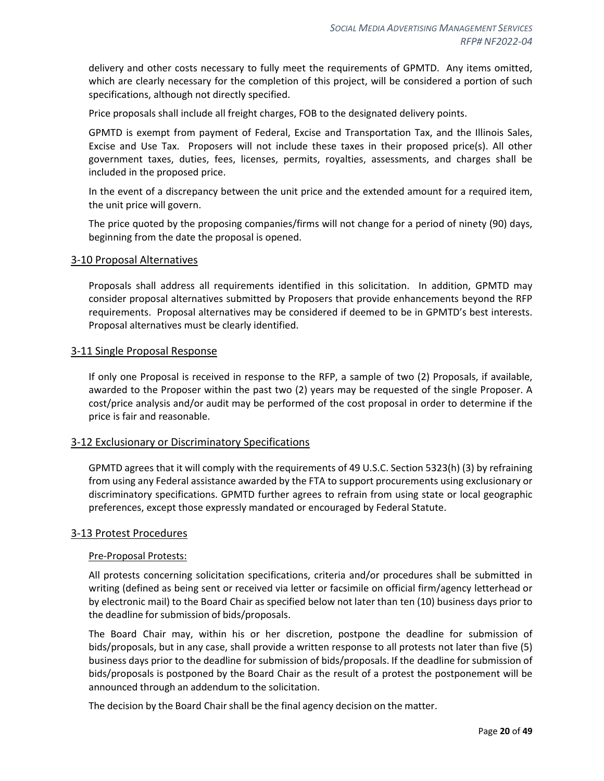delivery and other costs necessary to fully meet the requirements of GPMTD. Any items omitted, which are clearly necessary for the completion of this project, will be considered a portion of such specifications, although not directly specified.

Price proposals shall include all freight charges, FOB to the designated delivery points.

GPMTD is exempt from payment of Federal, Excise and Transportation Tax, and the Illinois Sales, Excise and Use Tax. Proposers will not include these taxes in their proposed price(s). All other government taxes, duties, fees, licenses, permits, royalties, assessments, and charges shall be included in the proposed price.

In the event of a discrepancy between the unit price and the extended amount for a required item, the unit price will govern.

The price quoted by the proposing companies/firms will not change for a period of ninety (90) days, beginning from the date the proposal is opened.

#### <span id="page-19-0"></span>3-10 Proposal Alternatives

Proposals shall address all requirements identified in this solicitation. In addition, GPMTD may consider proposal alternatives submitted by Proposers that provide enhancements beyond the RFP requirements. Proposal alternatives may be considered if deemed to be in GPMTD's best interests. Proposal alternatives must be clearly identified.

#### <span id="page-19-1"></span>3-11 Single Proposal Response

If only one Proposal is received in response to the RFP, a sample of two (2) Proposals, if available, awarded to the Proposer within the past two (2) years may be requested of the single Proposer. A cost/price analysis and/or audit may be performed of the cost proposal in order to determine if the price is fair and reasonable.

#### <span id="page-19-2"></span>3-12 Exclusionary or Discriminatory Specifications

GPMTD agrees that it will comply with the requirements of 49 U.S.C. Section 5323(h) (3) by refraining from using any Federal assistance awarded by the FTA to support procurements using exclusionary or discriminatory specifications. GPMTD further agrees to refrain from using state or local geographic preferences, except those expressly mandated or encouraged by Federal Statute.

#### <span id="page-19-3"></span>3-13 Protest Procedures

#### Pre-Proposal Protests:

All protests concerning solicitation specifications, criteria and/or procedures shall be submitted in writing (defined as being sent or received via letter or facsimile on official firm/agency letterhead or by electronic mail) to the Board Chair as specified below not later than ten (10) business days prior to the deadline for submission of bids/proposals.

The Board Chair may, within his or her discretion, postpone the deadline for submission of bids/proposals, but in any case, shall provide a written response to all protests not later than five (5) business days prior to the deadline for submission of bids/proposals. If the deadline for submission of bids/proposals is postponed by the Board Chair as the result of a protest the postponement will be announced through an addendum to the solicitation.

The decision by the Board Chair shall be the final agency decision on the matter.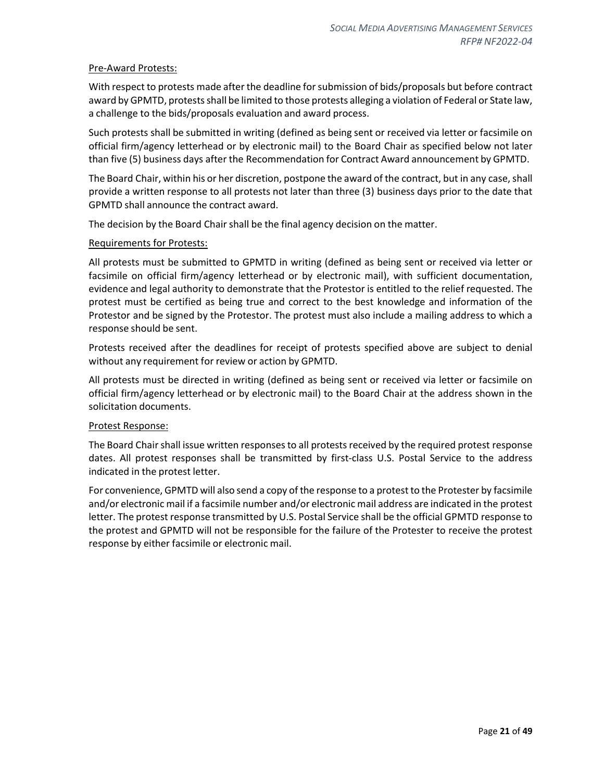#### Pre-Award Protests:

With respect to protests made after the deadline for submission of bids/proposals but before contract award by GPMTD, protests shall be limited to those protests alleging a violation of Federal or State law, a challenge to the bids/proposals evaluation and award process.

Such protests shall be submitted in writing (defined as being sent or received via letter or facsimile on official firm/agency letterhead or by electronic mail) to the Board Chair as specified below not later than five (5) business days after the Recommendation for Contract Award announcement by GPMTD.

The Board Chair, within his or her discretion, postpone the award of the contract, but in any case, shall provide a written response to all protests not later than three (3) business days prior to the date that GPMTD shall announce the contract award.

The decision by the Board Chair shall be the final agency decision on the matter.

#### Requirements for Protests:

All protests must be submitted to GPMTD in writing (defined as being sent or received via letter or facsimile on official firm/agency letterhead or by electronic mail), with sufficient documentation, evidence and legal authority to demonstrate that the Protestor is entitled to the relief requested. The protest must be certified as being true and correct to the best knowledge and information of the Protestor and be signed by the Protestor. The protest must also include a mailing address to which a response should be sent.

Protests received after the deadlines for receipt of protests specified above are subject to denial without any requirement for review or action by GPMTD.

All protests must be directed in writing (defined as being sent or received via letter or facsimile on official firm/agency letterhead or by electronic mail) to the Board Chair at the address shown in the solicitation documents.

#### Protest Response:

The Board Chair shall issue written responses to all protests received by the required protest response dates. All protest responses shall be transmitted by first-class U.S. Postal Service to the address indicated in the protest letter.

For convenience, GPMTD will also send a copy of the response to a protest to the Protester by facsimile and/or electronic mail if a facsimile number and/or electronic mail address are indicated in the protest letter. The protest response transmitted by U.S. Postal Service shall be the official GPMTD response to the protest and GPMTD will not be responsible for the failure of the Protester to receive the protest response by either facsimile or electronic mail.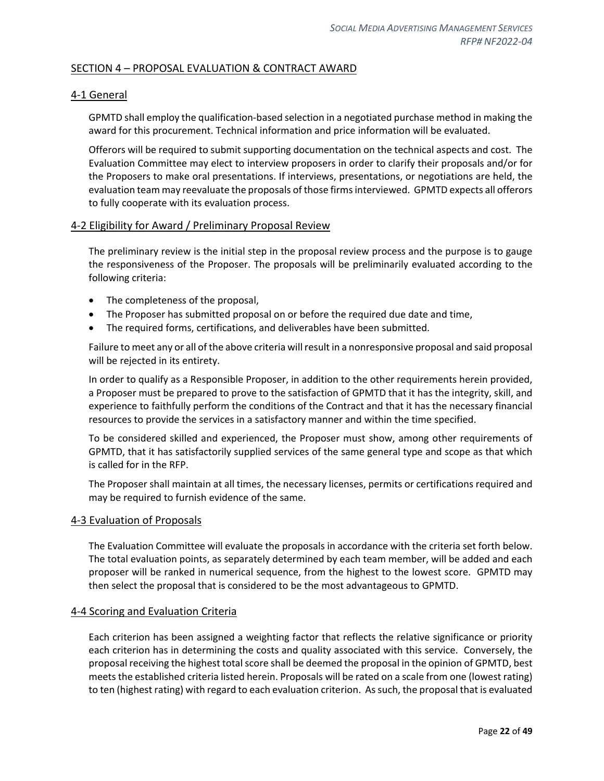## <span id="page-21-0"></span>SECTION 4 – PROPOSAL EVALUATION & CONTRACT AWARD

#### <span id="page-21-1"></span>4-1 General

GPMTD shall employ the qualification-based selection in a negotiated purchase method in making the award for this procurement. Technical information and price information will be evaluated.

Offerors will be required to submit supporting documentation on the technical aspects and cost. The Evaluation Committee may elect to interview proposers in order to clarify their proposals and/or for the Proposers to make oral presentations. If interviews, presentations, or negotiations are held, the evaluation team may reevaluate the proposals of those firms interviewed. GPMTD expects all offerors to fully cooperate with its evaluation process.

#### <span id="page-21-2"></span>4-2 Eligibility for Award / Preliminary Proposal Review

The preliminary review is the initial step in the proposal review process and the purpose is to gauge the responsiveness of the Proposer. The proposals will be preliminarily evaluated according to the following criteria:

- The completeness of the proposal,
- The Proposer has submitted proposal on or before the required due date and time,
- The required forms, certifications, and deliverables have been submitted.

Failure to meet any or all of the above criteria will result in a nonresponsive proposal and said proposal will be rejected in its entirety.

In order to qualify as a Responsible Proposer, in addition to the other requirements herein provided, a Proposer must be prepared to prove to the satisfaction of GPMTD that it has the integrity, skill, and experience to faithfully perform the conditions of the Contract and that it has the necessary financial resources to provide the services in a satisfactory manner and within the time specified.

To be considered skilled and experienced, the Proposer must show, among other requirements of GPMTD, that it has satisfactorily supplied services of the same general type and scope as that which is called for in the RFP.

The Proposer shall maintain at all times, the necessary licenses, permits or certifications required and may be required to furnish evidence of the same.

#### <span id="page-21-3"></span>4-3 Evaluation of Proposals

The Evaluation Committee will evaluate the proposals in accordance with the criteria set forth below. The total evaluation points, as separately determined by each team member, will be added and each proposer will be ranked in numerical sequence, from the highest to the lowest score. GPMTD may then select the proposal that is considered to be the most advantageous to GPMTD.

#### <span id="page-21-4"></span>4-4 Scoring and Evaluation Criteria

Each criterion has been assigned a weighting factor that reflects the relative significance or priority each criterion has in determining the costs and quality associated with this service. Conversely, the proposal receiving the highest total score shall be deemed the proposal in the opinion of GPMTD, best meets the established criteria listed herein. Proposals will be rated on a scale from one (lowest rating) to ten (highest rating) with regard to each evaluation criterion. As such, the proposal that is evaluated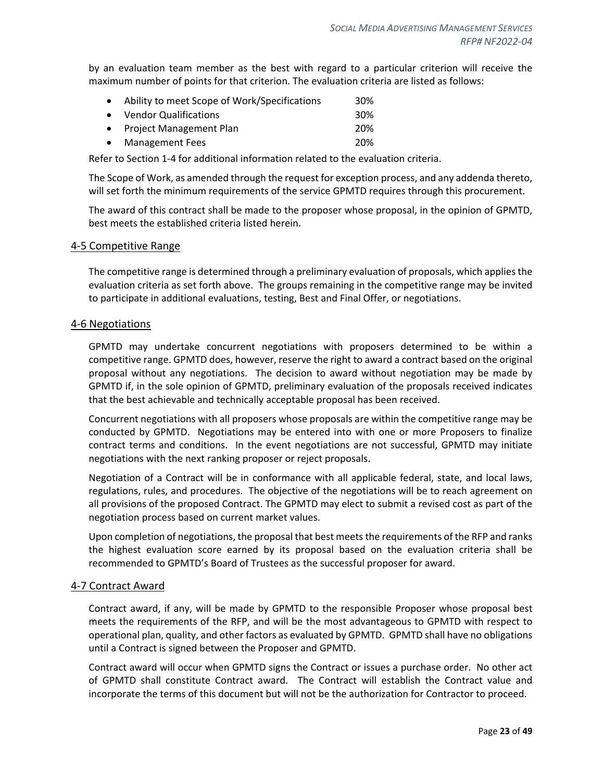by an evaluation team member as the best with regard to a particular criterion will receive the maximum number of points for that criterion. The evaluation criteria are listed as follows:

| • Ability to meet Scope of Work/Specifications | 30% |
|------------------------------------------------|-----|
| • Vendor Qualifications                        | 30% |
| • Project Management Plan                      | 20% |
| • Management Fees                              | 20% |

Refer to Section 1-4 for additional information related to the evaluation criteria.

The Scope of Work, as amended through the request for exception process, and any addenda thereto, will set forth the minimum requirements of the service GPMTD requires through this procurement.

The award of this contract shall be made to the proposer whose proposal, in the opinion of GPMTD, best meets the established criteria listed herein.

#### <span id="page-22-0"></span>4-5 Competitive Range

The competitive range is determined through a preliminary evaluation of proposals, which applies the evaluation criteria as set forth above. The groups remaining in the competitive range may be invited to participate in additional evaluations, testing, Best and Final Offer, or negotiations.

#### <span id="page-22-1"></span>4-6 Negotiations

GPMTD may undertake concurrent negotiations with proposers determined to be within a competitive range. GPMTD does, however, reserve the right to award a contract based on the original proposal without any negotiations. The decision to award without negotiation may be made by GPMTD if, in the sole opinion of GPMTD, preliminary evaluation of the proposals received indicates that the best achievable and technically acceptable proposal has been received.

Concurrent negotiations with all proposers whose proposals are within the competitive range may be conducted by GPMTD. Negotiations may be entered into with one or more Proposers to finalize contract terms and conditions. In the event negotiations are not successful, GPMTD may initiate negotiations with the next ranking proposer or reject proposals.

Negotiation of a Contract will be in conformance with all applicable federal, state, and local laws, regulations, rules, and procedures. The objective of the negotiations will be to reach agreement on all provisions of the proposed Contract. The GPMTD may elect to submit a revised cost as part of the negotiation process based on current market values.

Upon completion of negotiations, the proposal that best meets the requirements of the RFP and ranks the highest evaluation score earned by its proposal based on the evaluation criteria shall be recommended to GPMTD's Board of Trustees as the successful proposer for award.

#### <span id="page-22-2"></span>4-7 Contract Award

Contract award, if any, will be made by GPMTD to the responsible Proposer whose proposal best meets the requirements of the RFP, and will be the most advantageous to GPMTD with respect to operational plan, quality, and other factors as evaluated by GPMTD. GPMTD shall have no obligations until a Contract is signed between the Proposer and GPMTD.

Contract award will occur when GPMTD signs the Contract or issues a purchase order. No other act of GPMTD shall constitute Contract award. The Contract will establish the Contract value and incorporate the terms of this document but will not be the authorization for Contractor to proceed.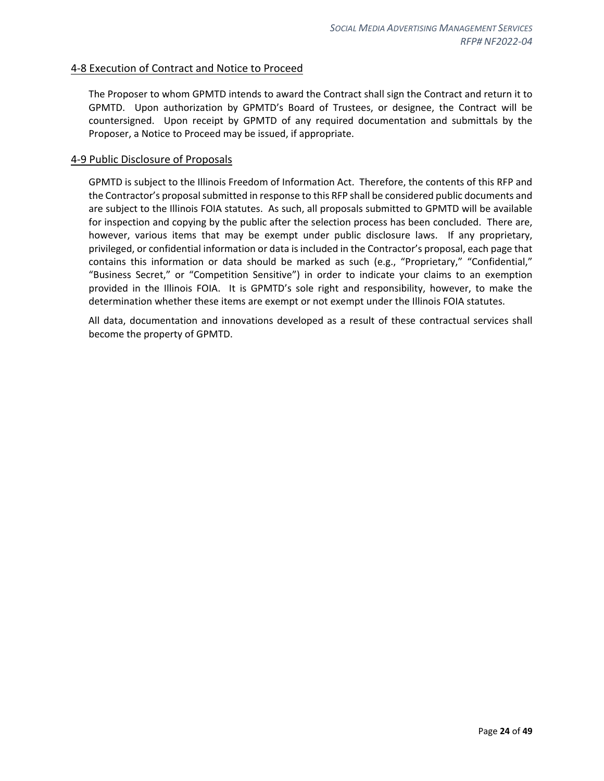#### <span id="page-23-0"></span>4-8 Execution of Contract and Notice to Proceed

The Proposer to whom GPMTD intends to award the Contract shall sign the Contract and return it to GPMTD. Upon authorization by GPMTD's Board of Trustees, or designee, the Contract will be countersigned. Upon receipt by GPMTD of any required documentation and submittals by the Proposer, a Notice to Proceed may be issued, if appropriate.

#### <span id="page-23-1"></span>4-9 Public Disclosure of Proposals

GPMTD is subject to the Illinois Freedom of Information Act. Therefore, the contents of this RFP and the Contractor's proposal submitted in response to this RFP shall be considered public documents and are subject to the Illinois FOIA statutes. As such, all proposals submitted to GPMTD will be available for inspection and copying by the public after the selection process has been concluded. There are, however, various items that may be exempt under public disclosure laws. If any proprietary, privileged, or confidential information or data is included in the Contractor's proposal, each page that contains this information or data should be marked as such (e.g., "Proprietary," "Confidential," "Business Secret," or "Competition Sensitive") in order to indicate your claims to an exemption provided in the Illinois FOIA. It is GPMTD's sole right and responsibility, however, to make the determination whether these items are exempt or not exempt under the Illinois FOIA statutes.

All data, documentation and innovations developed as a result of these contractual services shall become the property of GPMTD.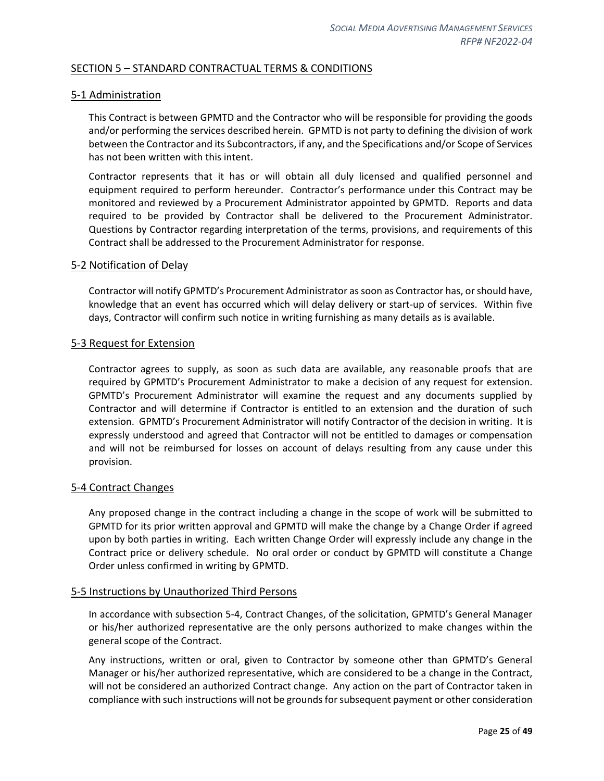## <span id="page-24-0"></span>SECTION 5 – STANDARD CONTRACTUAL TERMS & CONDITIONS

#### <span id="page-24-1"></span>5-1 Administration

This Contract is between GPMTD and the Contractor who will be responsible for providing the goods and/or performing the services described herein. GPMTD is not party to defining the division of work between the Contractor and its Subcontractors, if any, and the Specifications and/or Scope of Services has not been written with this intent.

Contractor represents that it has or will obtain all duly licensed and qualified personnel and equipment required to perform hereunder. Contractor's performance under this Contract may be monitored and reviewed by a Procurement Administrator appointed by GPMTD. Reports and data required to be provided by Contractor shall be delivered to the Procurement Administrator. Questions by Contractor regarding interpretation of the terms, provisions, and requirements of this Contract shall be addressed to the Procurement Administrator for response.

#### <span id="page-24-2"></span>5-2 Notification of Delay

Contractor will notify GPMTD's Procurement Administrator as soon as Contractor has, or should have, knowledge that an event has occurred which will delay delivery or start-up of services. Within five days, Contractor will confirm such notice in writing furnishing as many details as is available.

#### <span id="page-24-3"></span>5-3 Request for Extension

Contractor agrees to supply, as soon as such data are available, any reasonable proofs that are required by GPMTD's Procurement Administrator to make a decision of any request for extension. GPMTD's Procurement Administrator will examine the request and any documents supplied by Contractor and will determine if Contractor is entitled to an extension and the duration of such extension. GPMTD's Procurement Administrator will notify Contractor of the decision in writing. It is expressly understood and agreed that Contractor will not be entitled to damages or compensation and will not be reimbursed for losses on account of delays resulting from any cause under this provision.

#### <span id="page-24-4"></span>5-4 Contract Changes

Any proposed change in the contract including a change in the scope of work will be submitted to GPMTD for its prior written approval and GPMTD will make the change by a Change Order if agreed upon by both parties in writing. Each written Change Order will expressly include any change in the Contract price or delivery schedule. No oral order or conduct by GPMTD will constitute a Change Order unless confirmed in writing by GPMTD.

#### <span id="page-24-5"></span>5-5 Instructions by Unauthorized Third Persons

In accordance with subsection 5-4, Contract Changes, of the solicitation, GPMTD's General Manager or his/her authorized representative are the only persons authorized to make changes within the general scope of the Contract.

Any instructions, written or oral, given to Contractor by someone other than GPMTD's General Manager or his/her authorized representative, which are considered to be a change in the Contract, will not be considered an authorized Contract change. Any action on the part of Contractor taken in compliance with such instructions will not be grounds for subsequent payment or other consideration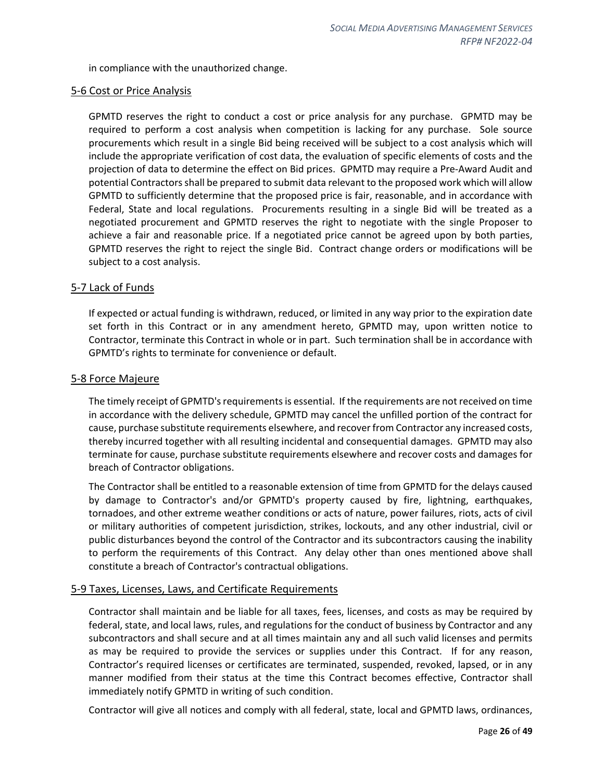in compliance with the unauthorized change.

#### <span id="page-25-0"></span>5-6 Cost or Price Analysis

GPMTD reserves the right to conduct a cost or price analysis for any purchase. GPMTD may be required to perform a cost analysis when competition is lacking for any purchase. Sole source procurements which result in a single Bid being received will be subject to a cost analysis which will include the appropriate verification of cost data, the evaluation of specific elements of costs and the projection of data to determine the effect on Bid prices. GPMTD may require a Pre-Award Audit and potential Contractors shall be prepared to submit data relevant to the proposed work which will allow GPMTD to sufficiently determine that the proposed price is fair, reasonable, and in accordance with Federal, State and local regulations. Procurements resulting in a single Bid will be treated as a negotiated procurement and GPMTD reserves the right to negotiate with the single Proposer to achieve a fair and reasonable price. If a negotiated price cannot be agreed upon by both parties, GPMTD reserves the right to reject the single Bid. Contract change orders or modifications will be subject to a cost analysis.

#### <span id="page-25-1"></span>5-7 Lack of Funds

If expected or actual funding is withdrawn, reduced, or limited in any way prior to the expiration date set forth in this Contract or in any amendment hereto, GPMTD may, upon written notice to Contractor, terminate this Contract in whole or in part. Such termination shall be in accordance with GPMTD's rights to terminate for convenience or default.

#### <span id="page-25-2"></span>5-8 Force Majeure

The timely receipt of GPMTD's requirements is essential. If the requirements are not received on time in accordance with the delivery schedule, GPMTD may cancel the unfilled portion of the contract for cause, purchase substitute requirements elsewhere, and recover from Contractor any increased costs, thereby incurred together with all resulting incidental and consequential damages. GPMTD may also terminate for cause, purchase substitute requirements elsewhere and recover costs and damages for breach of Contractor obligations.

The Contractor shall be entitled to a reasonable extension of time from GPMTD for the delays caused by damage to Contractor's and/or GPMTD's property caused by fire, lightning, earthquakes, tornadoes, and other extreme weather conditions or acts of nature, power failures, riots, acts of civil or military authorities of competent jurisdiction, strikes, lockouts, and any other industrial, civil or public disturbances beyond the control of the Contractor and its subcontractors causing the inability to perform the requirements of this Contract. Any delay other than ones mentioned above shall constitute a breach of Contractor's contractual obligations.

#### <span id="page-25-3"></span>5-9 Taxes, Licenses, Laws, and Certificate Requirements

Contractor shall maintain and be liable for all taxes, fees, licenses, and costs as may be required by federal, state, and local laws, rules, and regulations for the conduct of business by Contractor and any subcontractors and shall secure and at all times maintain any and all such valid licenses and permits as may be required to provide the services or supplies under this Contract. If for any reason, Contractor's required licenses or certificates are terminated, suspended, revoked, lapsed, or in any manner modified from their status at the time this Contract becomes effective, Contractor shall immediately notify GPMTD in writing of such condition.

Contractor will give all notices and comply with all federal, state, local and GPMTD laws, ordinances,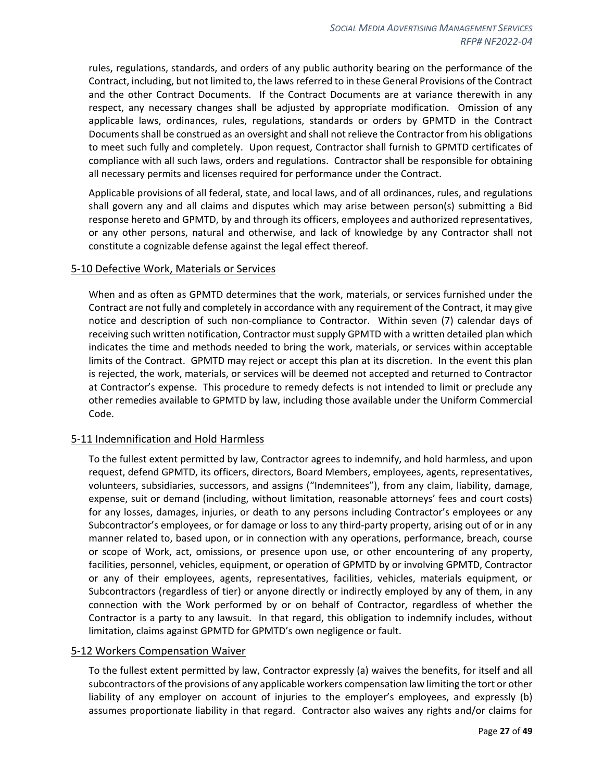rules, regulations, standards, and orders of any public authority bearing on the performance of the Contract, including, but not limited to, the laws referred to in these General Provisions of the Contract and the other Contract Documents. If the Contract Documents are at variance therewith in any respect, any necessary changes shall be adjusted by appropriate modification. Omission of any applicable laws, ordinances, rules, regulations, standards or orders by GPMTD in the Contract Documents shall be construed as an oversight and shall not relieve the Contractor from his obligations to meet such fully and completely. Upon request, Contractor shall furnish to GPMTD certificates of compliance with all such laws, orders and regulations. Contractor shall be responsible for obtaining all necessary permits and licenses required for performance under the Contract.

Applicable provisions of all federal, state, and local laws, and of all ordinances, rules, and regulations shall govern any and all claims and disputes which may arise between person(s) submitting a Bid response hereto and GPMTD, by and through its officers, employees and authorized representatives, or any other persons, natural and otherwise, and lack of knowledge by any Contractor shall not constitute a cognizable defense against the legal effect thereof.

#### <span id="page-26-0"></span>5-10 Defective Work, Materials or Services

When and as often as GPMTD determines that the work, materials, or services furnished under the Contract are not fully and completely in accordance with any requirement of the Contract, it may give notice and description of such non-compliance to Contractor. Within seven (7) calendar days of receiving such written notification, Contractor must supply GPMTD with a written detailed plan which indicates the time and methods needed to bring the work, materials, or services within acceptable limits of the Contract. GPMTD may reject or accept this plan at its discretion. In the event this plan is rejected, the work, materials, or services will be deemed not accepted and returned to Contractor at Contractor's expense. This procedure to remedy defects is not intended to limit or preclude any other remedies available to GPMTD by law, including those available under the Uniform Commercial Code.

#### <span id="page-26-1"></span>5-11 Indemnification and Hold Harmless

To the fullest extent permitted by law, Contractor agrees to indemnify, and hold harmless, and upon request, defend GPMTD, its officers, directors, Board Members, employees, agents, representatives, volunteers, subsidiaries, successors, and assigns ("Indemnitees"), from any claim, liability, damage, expense, suit or demand (including, without limitation, reasonable attorneys' fees and court costs) for any losses, damages, injuries, or death to any persons including Contractor's employees or any Subcontractor's employees, or for damage or loss to any third-party property, arising out of or in any manner related to, based upon, or in connection with any operations, performance, breach, course or scope of Work, act, omissions, or presence upon use, or other encountering of any property, facilities, personnel, vehicles, equipment, or operation of GPMTD by or involving GPMTD, Contractor or any of their employees, agents, representatives, facilities, vehicles, materials equipment, or Subcontractors (regardless of tier) or anyone directly or indirectly employed by any of them, in any connection with the Work performed by or on behalf of Contractor, regardless of whether the Contractor is a party to any lawsuit. In that regard, this obligation to indemnify includes, without limitation, claims against GPMTD for GPMTD's own negligence or fault.

#### <span id="page-26-2"></span>5-12 Workers Compensation Waiver

To the fullest extent permitted by law, Contractor expressly (a) waives the benefits, for itself and all subcontractors of the provisions of any applicable workers compensation law limiting the tort or other liability of any employer on account of injuries to the employer's employees, and expressly (b) assumes proportionate liability in that regard. Contractor also waives any rights and/or claims for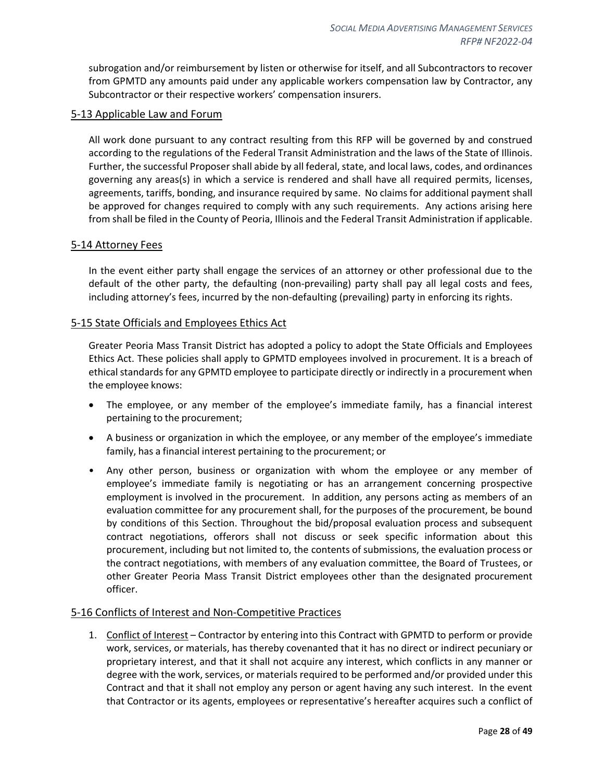subrogation and/or reimbursement by listen or otherwise for itself, and all Subcontractors to recover from GPMTD any amounts paid under any applicable workers compensation law by Contractor, any Subcontractor or their respective workers' compensation insurers.

#### <span id="page-27-0"></span>5-13 Applicable Law and Forum

All work done pursuant to any contract resulting from this RFP will be governed by and construed according to the regulations of the Federal Transit Administration and the laws of the State of Illinois. Further, the successful Proposer shall abide by all federal, state, and local laws, codes, and ordinances governing any areas(s) in which a service is rendered and shall have all required permits, licenses, agreements, tariffs, bonding, and insurance required by same. No claims for additional payment shall be approved for changes required to comply with any such requirements. Any actions arising here from shall be filed in the County of Peoria, Illinois and the Federal Transit Administration if applicable.

#### <span id="page-27-1"></span>5-14 Attorney Fees

In the event either party shall engage the services of an attorney or other professional due to the default of the other party, the defaulting (non-prevailing) party shall pay all legal costs and fees, including attorney's fees, incurred by the non-defaulting (prevailing) party in enforcing its rights.

#### <span id="page-27-2"></span>5-15 State Officials and Employees Ethics Act

Greater Peoria Mass Transit District has adopted a policy to adopt the State Officials and Employees Ethics Act. These policies shall apply to GPMTD employees involved in procurement. It is a breach of ethical standards for any GPMTD employee to participate directly or indirectly in a procurement when the employee knows:

- The employee, or any member of the employee's immediate family, has a financial interest pertaining to the procurement;
- A business or organization in which the employee, or any member of the employee's immediate family, has a financial interest pertaining to the procurement; or
- Any other person, business or organization with whom the employee or any member of employee's immediate family is negotiating or has an arrangement concerning prospective employment is involved in the procurement. In addition, any persons acting as members of an evaluation committee for any procurement shall, for the purposes of the procurement, be bound by conditions of this Section. Throughout the bid/proposal evaluation process and subsequent contract negotiations, offerors shall not discuss or seek specific information about this procurement, including but not limited to, the contents of submissions, the evaluation process or the contract negotiations, with members of any evaluation committee, the Board of Trustees, or other Greater Peoria Mass Transit District employees other than the designated procurement officer.

#### <span id="page-27-3"></span>5-16 Conflicts of Interest and Non-Competitive Practices

1. Conflict of Interest – Contractor by entering into this Contract with GPMTD to perform or provide work, services, or materials, has thereby covenanted that it has no direct or indirect pecuniary or proprietary interest, and that it shall not acquire any interest, which conflicts in any manner or degree with the work, services, or materials required to be performed and/or provided under this Contract and that it shall not employ any person or agent having any such interest. In the event that Contractor or its agents, employees or representative's hereafter acquires such a conflict of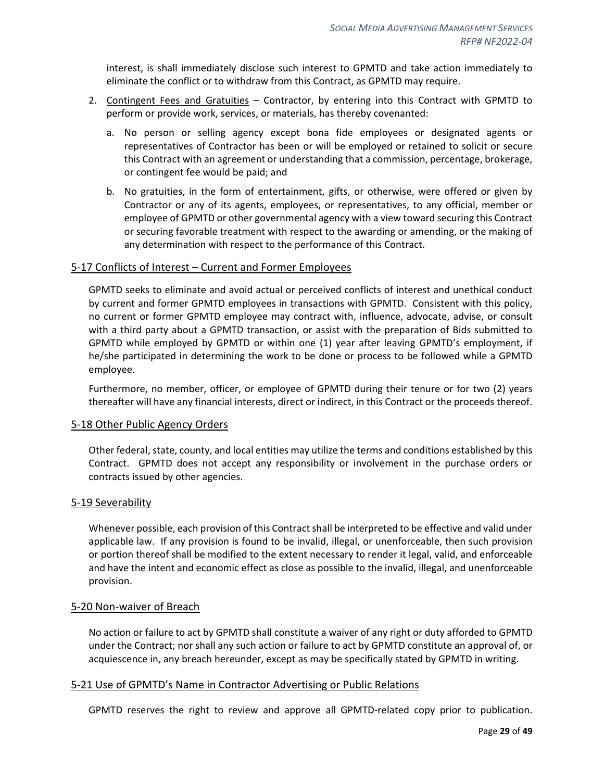interest, is shall immediately disclose such interest to GPMTD and take action immediately to eliminate the conflict or to withdraw from this Contract, as GPMTD may require.

- 2. Contingent Fees and Gratuities Contractor, by entering into this Contract with GPMTD to perform or provide work, services, or materials, has thereby covenanted:
	- a. No person or selling agency except bona fide employees or designated agents or representatives of Contractor has been or will be employed or retained to solicit or secure this Contract with an agreement or understanding that a commission, percentage, brokerage, or contingent fee would be paid; and
	- b. No gratuities, in the form of entertainment, gifts, or otherwise, were offered or given by Contractor or any of its agents, employees, or representatives, to any official, member or employee of GPMTD or other governmental agency with a view toward securing this Contract or securing favorable treatment with respect to the awarding or amending, or the making of any determination with respect to the performance of this Contract.

#### <span id="page-28-0"></span>5-17 Conflicts of Interest – Current and Former Employees

GPMTD seeks to eliminate and avoid actual or perceived conflicts of interest and unethical conduct by current and former GPMTD employees in transactions with GPMTD. Consistent with this policy, no current or former GPMTD employee may contract with, influence, advocate, advise, or consult with a third party about a GPMTD transaction, or assist with the preparation of Bids submitted to GPMTD while employed by GPMTD or within one (1) year after leaving GPMTD's employment, if he/she participated in determining the work to be done or process to be followed while a GPMTD employee.

Furthermore, no member, officer, or employee of GPMTD during their tenure or for two (2) years thereafter will have any financial interests, direct or indirect, in this Contract or the proceeds thereof.

#### <span id="page-28-1"></span>5-18 Other Public Agency Orders

Other federal, state, county, and local entities may utilize the terms and conditions established by this Contract. GPMTD does not accept any responsibility or involvement in the purchase orders or contracts issued by other agencies.

#### <span id="page-28-2"></span>5-19 Severability

Whenever possible, each provision of this Contract shall be interpreted to be effective and valid under applicable law. If any provision is found to be invalid, illegal, or unenforceable, then such provision or portion thereof shall be modified to the extent necessary to render it legal, valid, and enforceable and have the intent and economic effect as close as possible to the invalid, illegal, and unenforceable provision.

#### <span id="page-28-3"></span>5-20 Non-waiver of Breach

No action or failure to act by GPMTD shall constitute a waiver of any right or duty afforded to GPMTD under the Contract; nor shall any such action or failure to act by GPMTD constitute an approval of, or acquiescence in, any breach hereunder, except as may be specifically stated by GPMTD in writing.

#### <span id="page-28-4"></span>5-21 Use of GPMTD's Name in Contractor Advertising or Public Relations

GPMTD reserves the right to review and approve all GPMTD-related copy prior to publication.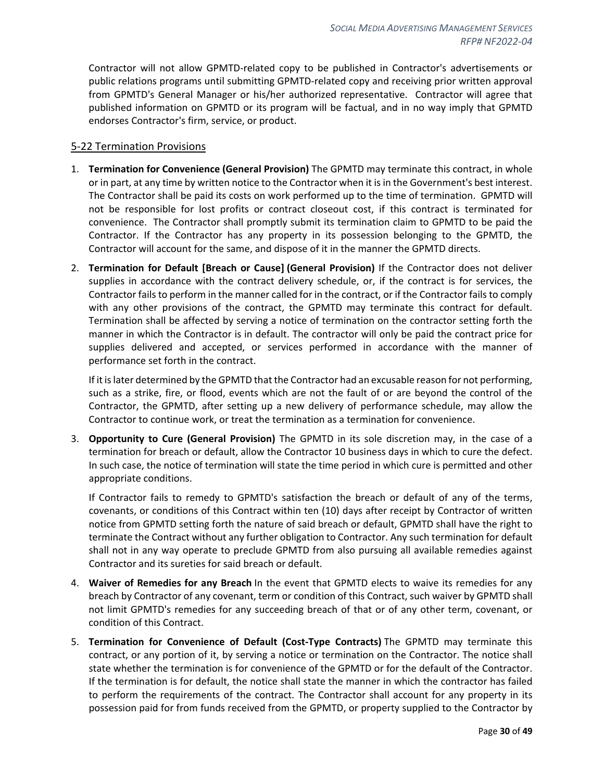Contractor will not allow GPMTD-related copy to be published in Contractor's advertisements or public relations programs until submitting GPMTD-related copy and receiving prior written approval from GPMTD's General Manager or his/her authorized representative. Contractor will agree that published information on GPMTD or its program will be factual, and in no way imply that GPMTD endorses Contractor's firm, service, or product.

#### <span id="page-29-0"></span>5-22 Termination Provisions

- 1. **Termination for Convenience (General Provision)** The GPMTD may terminate this contract, in whole or in part, at any time by written notice to the Contractor when it is in the Government's best interest. The Contractor shall be paid its costs on work performed up to the time of termination. GPMTD will not be responsible for lost profits or contract closeout cost, if this contract is terminated for convenience. The Contractor shall promptly submit its termination claim to GPMTD to be paid the Contractor. If the Contractor has any property in its possession belonging to the GPMTD, the Contractor will account for the same, and dispose of it in the manner the GPMTD directs.
- 2. **Termination for Default [Breach or Cause] (General Provision)** If the Contractor does not deliver supplies in accordance with the contract delivery schedule, or, if the contract is for services, the Contractor fails to perform in the manner called for in the contract, or if the Contractor fails to comply with any other provisions of the contract, the GPMTD may terminate this contract for default. Termination shall be affected by serving a notice of termination on the contractor setting forth the manner in which the Contractor is in default. The contractor will only be paid the contract price for supplies delivered and accepted, or services performed in accordance with the manner of performance set forth in the contract.

If it is later determined by the GPMTD that the Contractor had an excusable reason for not performing, such as a strike, fire, or flood, events which are not the fault of or are beyond the control of the Contractor, the GPMTD, after setting up a new delivery of performance schedule, may allow the Contractor to continue work, or treat the termination as a termination for convenience.

3. **Opportunity to Cure (General Provision)** The GPMTD in its sole discretion may, in the case of a termination for breach or default, allow the Contractor 10 business days in which to cure the defect. In such case, the notice of termination will state the time period in which cure is permitted and other appropriate conditions.

If Contractor fails to remedy to GPMTD's satisfaction the breach or default of any of the terms, covenants, or conditions of this Contract within ten (10) days after receipt by Contractor of written notice from GPMTD setting forth the nature of said breach or default, GPMTD shall have the right to terminate the Contract without any further obligation to Contractor. Any such termination for default shall not in any way operate to preclude GPMTD from also pursuing all available remedies against Contractor and its sureties for said breach or default.

- 4. **Waiver of Remedies for any Breach** In the event that GPMTD elects to waive its remedies for any breach by Contractor of any covenant, term or condition of this Contract, such waiver by GPMTD shall not limit GPMTD's remedies for any succeeding breach of that or of any other term, covenant, or condition of this Contract.
- 5. **Termination for Convenience of Default (Cost-Type Contracts)** The GPMTD may terminate this contract, or any portion of it, by serving a notice or termination on the Contractor. The notice shall state whether the termination is for convenience of the GPMTD or for the default of the Contractor. If the termination is for default, the notice shall state the manner in which the contractor has failed to perform the requirements of the contract. The Contractor shall account for any property in its possession paid for from funds received from the GPMTD, or property supplied to the Contractor by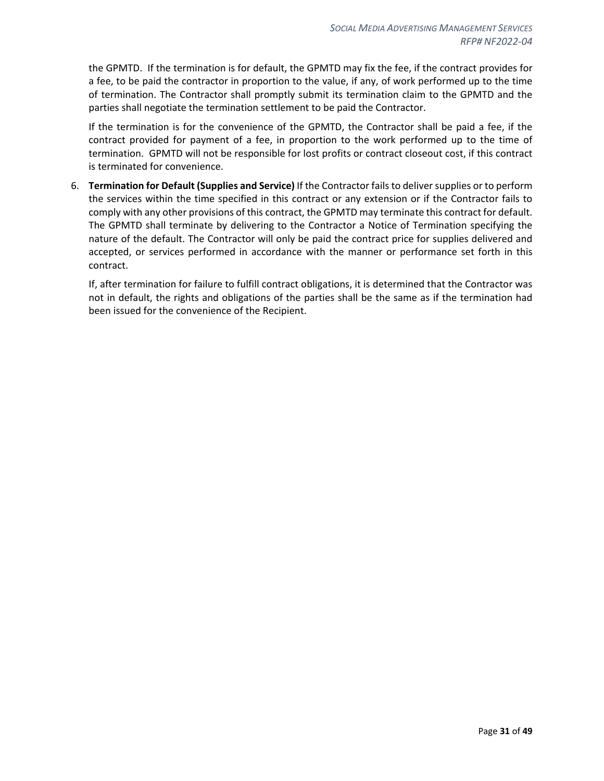the GPMTD. If the termination is for default, the GPMTD may fix the fee, if the contract provides for a fee, to be paid the contractor in proportion to the value, if any, of work performed up to the time of termination. The Contractor shall promptly submit its termination claim to the GPMTD and the parties shall negotiate the termination settlement to be paid the Contractor.

If the termination is for the convenience of the GPMTD, the Contractor shall be paid a fee, if the contract provided for payment of a fee, in proportion to the work performed up to the time of termination. GPMTD will not be responsible for lost profits or contract closeout cost, if this contract is terminated for convenience.

6. **Termination for Default (Supplies and Service)** If the Contractor fails to deliver supplies or to perform the services within the time specified in this contract or any extension or if the Contractor fails to comply with any other provisions of this contract, the GPMTD may terminate this contract for default. The GPMTD shall terminate by delivering to the Contractor a Notice of Termination specifying the nature of the default. The Contractor will only be paid the contract price for supplies delivered and accepted, or services performed in accordance with the manner or performance set forth in this contract.

If, after termination for failure to fulfill contract obligations, it is determined that the Contractor was not in default, the rights and obligations of the parties shall be the same as if the termination had been issued for the convenience of the Recipient.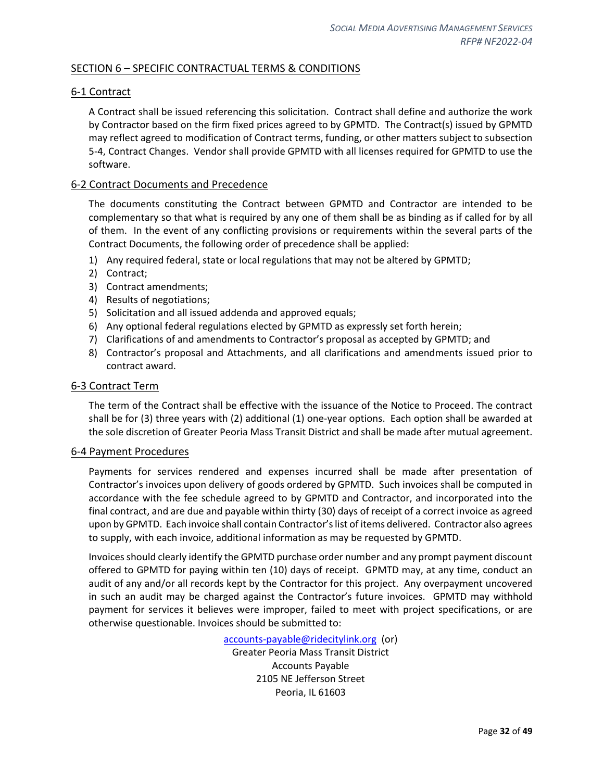## <span id="page-31-0"></span>SECTION 6 – SPECIFIC CONTRACTUAL TERMS & CONDITIONS

#### <span id="page-31-1"></span>6-1 Contract

A Contract shall be issued referencing this solicitation. Contract shall define and authorize the work by Contractor based on the firm fixed prices agreed to by GPMTD. The Contract(s) issued by GPMTD may reflect agreed to modification of Contract terms, funding, or other matters subject to subsection 5-4, Contract Changes. Vendor shall provide GPMTD with all licenses required for GPMTD to use the software.

#### <span id="page-31-2"></span>6-2 Contract Documents and Precedence

The documents constituting the Contract between GPMTD and Contractor are intended to be complementary so that what is required by any one of them shall be as binding as if called for by all of them. In the event of any conflicting provisions or requirements within the several parts of the Contract Documents, the following order of precedence shall be applied:

- 1) Any required federal, state or local regulations that may not be altered by GPMTD;
- 2) Contract;
- 3) Contract amendments;
- 4) Results of negotiations;
- 5) Solicitation and all issued addenda and approved equals;
- 6) Any optional federal regulations elected by GPMTD as expressly set forth herein;
- 7) Clarifications of and amendments to Contractor's proposal as accepted by GPMTD; and
- 8) Contractor's proposal and Attachments, and all clarifications and amendments issued prior to contract award.

#### <span id="page-31-3"></span>6-3 Contract Term

The term of the Contract shall be effective with the issuance of the Notice to Proceed. The contract shall be for (3) three years with (2) additional (1) one-year options. Each option shall be awarded at the sole discretion of Greater Peoria Mass Transit District and shall be made after mutual agreement.

#### <span id="page-31-4"></span>6-4 Payment Procedures

Payments for services rendered and expenses incurred shall be made after presentation of Contractor's invoices upon delivery of goods ordered by GPMTD. Such invoices shall be computed in accordance with the fee schedule agreed to by GPMTD and Contractor, and incorporated into the final contract, and are due and payable within thirty (30) days of receipt of a correct invoice as agreed upon by GPMTD. Each invoice shall contain Contractor's list of items delivered. Contractor also agrees to supply, with each invoice, additional information as may be requested by GPMTD.

Invoices should clearly identify the GPMTD purchase order number and any prompt payment discount offered to GPMTD for paying within ten (10) days of receipt. GPMTD may, at any time, conduct an audit of any and/or all records kept by the Contractor for this project. Any overpayment uncovered in such an audit may be charged against the Contractor's future invoices. GPMTD may withhold payment for services it believes were improper, failed to meet with project specifications, or are otherwise questionable. Invoices should be submitted to:

> [accounts-payable@ridecitylink.org](mailto:accounts-payable@ridecitylink.org) (or) Greater Peoria Mass Transit District Accounts Payable 2105 NE Jefferson Street Peoria, IL 61603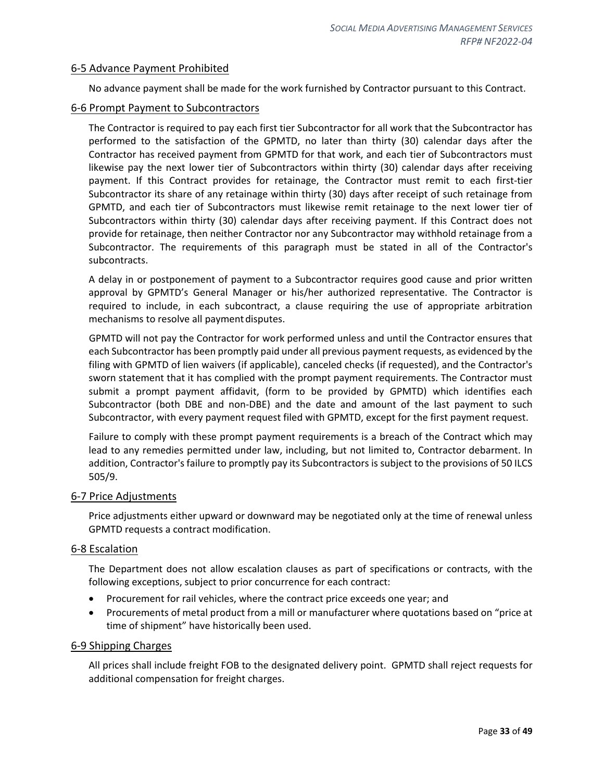#### <span id="page-32-0"></span>6-5 Advance Payment Prohibited

No advance payment shall be made for the work furnished by Contractor pursuant to this Contract.

#### <span id="page-32-1"></span>6-6 Prompt Payment to Subcontractors

The Contractor is required to pay each first tier Subcontractor for all work that the Subcontractor has performed to the satisfaction of the GPMTD, no later than thirty (30) calendar days after the Contractor has received payment from GPMTD for that work, and each tier of Subcontractors must likewise pay the next lower tier of Subcontractors within thirty (30) calendar days after receiving payment. If this Contract provides for retainage, the Contractor must remit to each first-tier Subcontractor its share of any retainage within thirty (30) days after receipt of such retainage from GPMTD, and each tier of Subcontractors must likewise remit retainage to the next lower tier of Subcontractors within thirty (30) calendar days after receiving payment. If this Contract does not provide for retainage, then neither Contractor nor any Subcontractor may withhold retainage from a Subcontractor. The requirements of this paragraph must be stated in all of the Contractor's subcontracts.

A delay in or postponement of payment to a Subcontractor requires good cause and prior written approval by GPMTD's General Manager or his/her authorized representative. The Contractor is required to include, in each subcontract, a clause requiring the use of appropriate arbitration mechanisms to resolve all paymentdisputes.

GPMTD will not pay the Contractor for work performed unless and until the Contractor ensures that each Subcontractor has been promptly paid under all previous payment requests, as evidenced by the filing with GPMTD of lien waivers (if applicable), canceled checks (if requested), and the Contractor's sworn statement that it has complied with the prompt payment requirements. The Contractor must submit a prompt payment affidavit, (form to be provided by GPMTD) which identifies each Subcontractor (both DBE and non-DBE) and the date and amount of the last payment to such Subcontractor, with every payment request filed with GPMTD, except for the first payment request.

Failure to comply with these prompt payment requirements is a breach of the Contract which may lead to any remedies permitted under law, including, but not limited to, Contractor debarment. In addition, Contractor's failure to promptly pay its Subcontractors is subject to the provisions of 50 ILCS 505/9.

#### <span id="page-32-2"></span>6-7 Price Adjustments

Price adjustments either upward or downward may be negotiated only at the time of renewal unless GPMTD requests a contract modification.

#### <span id="page-32-3"></span>6-8 Escalation

The Department does not allow escalation clauses as part of specifications or contracts, with the following exceptions, subject to prior concurrence for each contract:

- Procurement for rail vehicles, where the contract price exceeds one year; and
- Procurements of metal product from a mill or manufacturer where quotations based on "price at time of shipment" have historically been used.

#### <span id="page-32-4"></span>6-9 Shipping Charges

All prices shall include freight FOB to the designated delivery point. GPMTD shall reject requests for additional compensation for freight charges.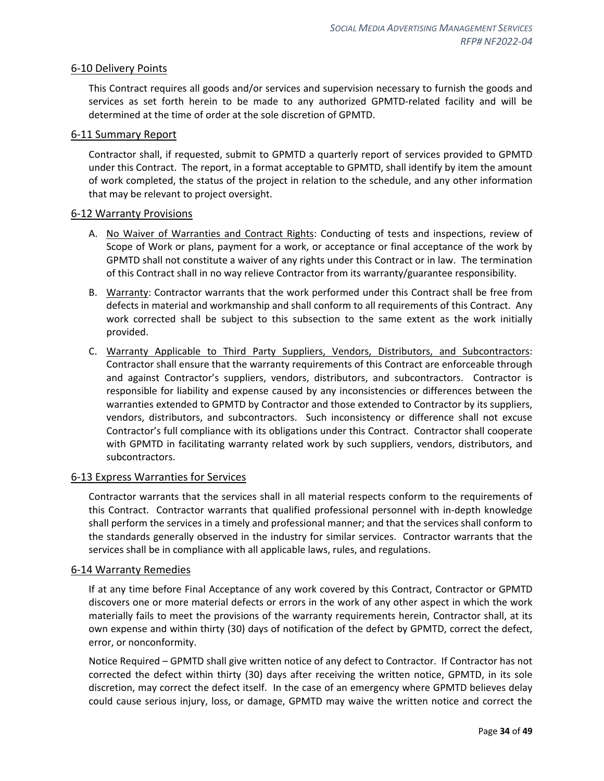#### <span id="page-33-0"></span>6-10 Delivery Points

This Contract requires all goods and/or services and supervision necessary to furnish the goods and services as set forth herein to be made to any authorized GPMTD-related facility and will be determined at the time of order at the sole discretion of GPMTD.

#### <span id="page-33-1"></span>6-11 Summary Report

Contractor shall, if requested, submit to GPMTD a quarterly report of services provided to GPMTD under this Contract. The report, in a format acceptable to GPMTD, shall identify by item the amount of work completed, the status of the project in relation to the schedule, and any other information that may be relevant to project oversight.

#### <span id="page-33-2"></span>6-12 Warranty Provisions

- A. No Waiver of Warranties and Contract Rights: Conducting of tests and inspections, review of Scope of Work or plans, payment for a work, or acceptance or final acceptance of the work by GPMTD shall not constitute a waiver of any rights under this Contract or in law. The termination of this Contract shall in no way relieve Contractor from its warranty/guarantee responsibility.
- B. Warranty: Contractor warrants that the work performed under this Contract shall be free from defects in material and workmanship and shall conform to all requirements of this Contract. Any work corrected shall be subject to this subsection to the same extent as the work initially provided.
- C. Warranty Applicable to Third Party Suppliers, Vendors, Distributors, and Subcontractors: Contractor shall ensure that the warranty requirements of this Contract are enforceable through and against Contractor's suppliers, vendors, distributors, and subcontractors. Contractor is responsible for liability and expense caused by any inconsistencies or differences between the warranties extended to GPMTD by Contractor and those extended to Contractor by its suppliers, vendors, distributors, and subcontractors. Such inconsistency or difference shall not excuse Contractor's full compliance with its obligations under this Contract. Contractor shall cooperate with GPMTD in facilitating warranty related work by such suppliers, vendors, distributors, and subcontractors.

## <span id="page-33-3"></span>6-13 Express Warranties for Services

Contractor warrants that the services shall in all material respects conform to the requirements of this Contract. Contractor warrants that qualified professional personnel with in-depth knowledge shall perform the services in a timely and professional manner; and that the services shall conform to the standards generally observed in the industry for similar services. Contractor warrants that the services shall be in compliance with all applicable laws, rules, and regulations.

#### <span id="page-33-4"></span>6-14 Warranty Remedies

If at any time before Final Acceptance of any work covered by this Contract, Contractor or GPMTD discovers one or more material defects or errors in the work of any other aspect in which the work materially fails to meet the provisions of the warranty requirements herein, Contractor shall, at its own expense and within thirty (30) days of notification of the defect by GPMTD, correct the defect, error, or nonconformity.

Notice Required – GPMTD shall give written notice of any defect to Contractor. If Contractor has not corrected the defect within thirty (30) days after receiving the written notice, GPMTD, in its sole discretion, may correct the defect itself. In the case of an emergency where GPMTD believes delay could cause serious injury, loss, or damage, GPMTD may waive the written notice and correct the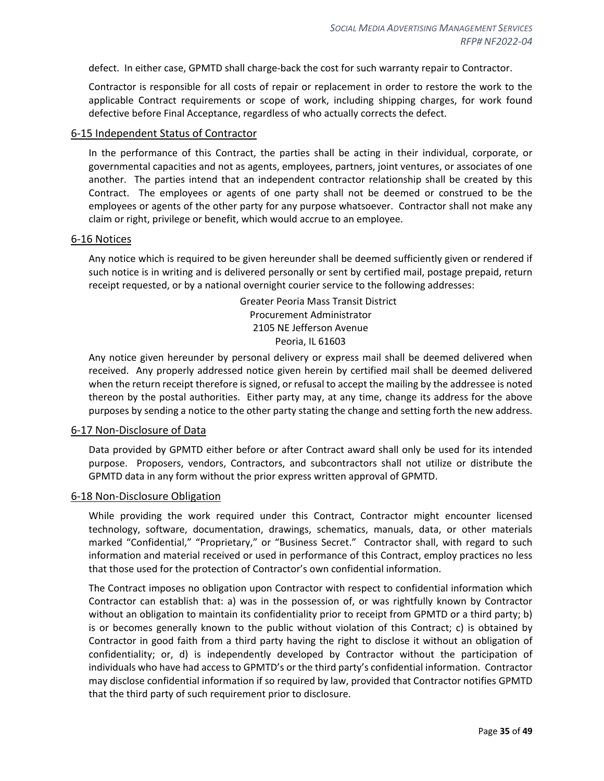defect. In either case, GPMTD shall charge-back the cost for such warranty repair to Contractor.

Contractor is responsible for all costs of repair or replacement in order to restore the work to the applicable Contract requirements or scope of work, including shipping charges, for work found defective before Final Acceptance, regardless of who actually corrects the defect.

#### <span id="page-34-0"></span>6-15 Independent Status of Contractor

In the performance of this Contract, the parties shall be acting in their individual, corporate, or governmental capacities and not as agents, employees, partners, joint ventures, or associates of one another. The parties intend that an independent contractor relationship shall be created by this Contract. The employees or agents of one party shall not be deemed or construed to be the employees or agents of the other party for any purpose whatsoever. Contractor shall not make any claim or right, privilege or benefit, which would accrue to an employee.

#### <span id="page-34-1"></span>6-16 Notices

Any notice which is required to be given hereunder shall be deemed sufficiently given or rendered if such notice is in writing and is delivered personally or sent by certified mail, postage prepaid, return receipt requested, or by a national overnight courier service to the following addresses:

> Greater Peoria Mass Transit District Procurement Administrator 2105 NE Jefferson Avenue Peoria, IL 61603

Any notice given hereunder by personal delivery or express mail shall be deemed delivered when received. Any properly addressed notice given herein by certified mail shall be deemed delivered when the return receipt therefore is signed, or refusal to accept the mailing by the addressee is noted thereon by the postal authorities. Either party may, at any time, change its address for the above purposes by sending a notice to the other party stating the change and setting forth the new address.

#### <span id="page-34-2"></span>6-17 Non-Disclosure of Data

Data provided by GPMTD either before or after Contract award shall only be used for its intended purpose. Proposers, vendors, Contractors, and subcontractors shall not utilize or distribute the GPMTD data in any form without the prior express written approval of GPMTD.

#### <span id="page-34-3"></span>6-18 Non-Disclosure Obligation

While providing the work required under this Contract, Contractor might encounter licensed technology, software, documentation, drawings, schematics, manuals, data, or other materials marked "Confidential," "Proprietary," or "Business Secret." Contractor shall, with regard to such information and material received or used in performance of this Contract, employ practices no less that those used for the protection of Contractor's own confidential information.

The Contract imposes no obligation upon Contractor with respect to confidential information which Contractor can establish that: a) was in the possession of, or was rightfully known by Contractor without an obligation to maintain its confidentiality prior to receipt from GPMTD or a third party; b) is or becomes generally known to the public without violation of this Contract; c) is obtained by Contractor in good faith from a third party having the right to disclose it without an obligation of confidentiality; or, d) is independently developed by Contractor without the participation of individuals who have had access to GPMTD's or the third party's confidential information. Contractor may disclose confidential information if so required by law, provided that Contractor notifies GPMTD that the third party of such requirement prior to disclosure.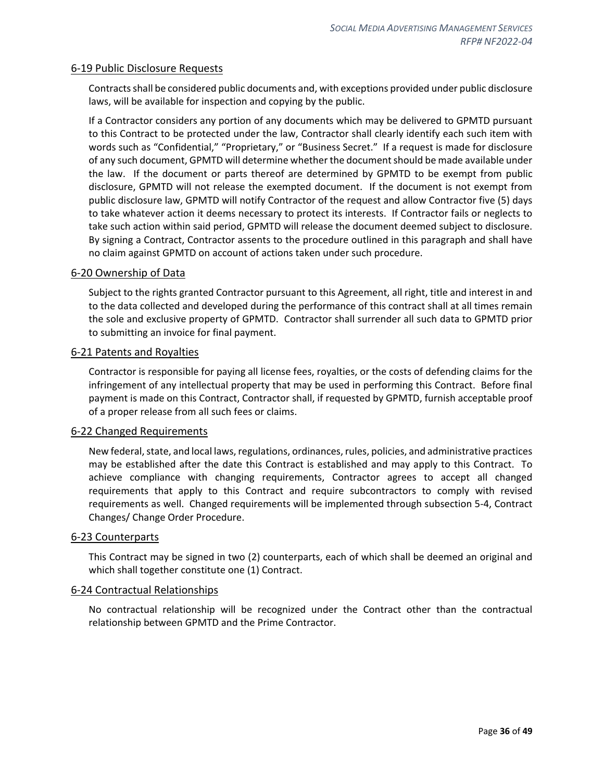#### <span id="page-35-0"></span>6-19 Public Disclosure Requests

Contracts shall be considered public documents and, with exceptions provided under public disclosure laws, will be available for inspection and copying by the public.

If a Contractor considers any portion of any documents which may be delivered to GPMTD pursuant to this Contract to be protected under the law, Contractor shall clearly identify each such item with words such as "Confidential," "Proprietary," or "Business Secret." If a request is made for disclosure of any such document, GPMTD will determine whether the document should be made available under the law. If the document or parts thereof are determined by GPMTD to be exempt from public disclosure, GPMTD will not release the exempted document. If the document is not exempt from public disclosure law, GPMTD will notify Contractor of the request and allow Contractor five (5) days to take whatever action it deems necessary to protect its interests. If Contractor fails or neglects to take such action within said period, GPMTD will release the document deemed subject to disclosure. By signing a Contract, Contractor assents to the procedure outlined in this paragraph and shall have no claim against GPMTD on account of actions taken under such procedure.

#### <span id="page-35-1"></span>6-20 Ownership of Data

Subject to the rights granted Contractor pursuant to this Agreement, all right, title and interest in and to the data collected and developed during the performance of this contract shall at all times remain the sole and exclusive property of GPMTD. Contractor shall surrender all such data to GPMTD prior to submitting an invoice for final payment.

#### <span id="page-35-2"></span>6-21 Patents and Royalties

Contractor is responsible for paying all license fees, royalties, or the costs of defending claims for the infringement of any intellectual property that may be used in performing this Contract. Before final payment is made on this Contract, Contractor shall, if requested by GPMTD, furnish acceptable proof of a proper release from all such fees or claims.

#### <span id="page-35-3"></span>6-22 Changed Requirements

New federal, state, and local laws, regulations, ordinances, rules, policies, and administrative practices may be established after the date this Contract is established and may apply to this Contract. To achieve compliance with changing requirements, Contractor agrees to accept all changed requirements that apply to this Contract and require subcontractors to comply with revised requirements as well. Changed requirements will be implemented through subsection 5-4, Contract Changes/ Change Order Procedure.

#### <span id="page-35-4"></span>6-23 Counterparts

This Contract may be signed in two (2) counterparts, each of which shall be deemed an original and which shall together constitute one (1) Contract.

#### <span id="page-35-5"></span>6-24 Contractual Relationships

No contractual relationship will be recognized under the Contract other than the contractual relationship between GPMTD and the Prime Contractor.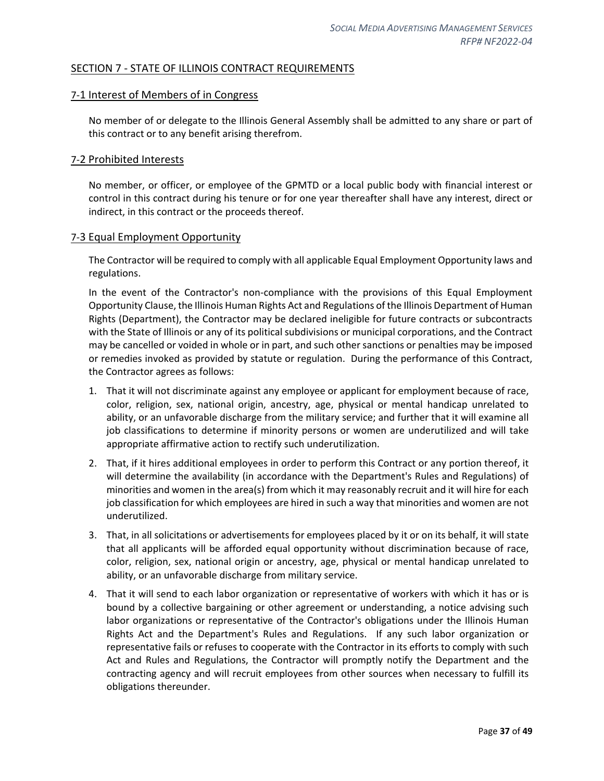#### <span id="page-36-0"></span>SECTION 7 - STATE OF ILLINOIS CONTRACT REQUIREMENTS

#### <span id="page-36-1"></span>7-1 Interest of Members of in Congress

No member of or delegate to the Illinois General Assembly shall be admitted to any share or part of this contract or to any benefit arising therefrom.

#### <span id="page-36-2"></span>7-2 Prohibited Interests

No member, or officer, or employee of the GPMTD or a local public body with financial interest or control in this contract during his tenure or for one year thereafter shall have any interest, direct or indirect, in this contract or the proceeds thereof.

#### <span id="page-36-3"></span>7-3 Equal Employment Opportunity

The Contractor will be required to comply with all applicable Equal Employment Opportunity laws and regulations.

In the event of the Contractor's non-compliance with the provisions of this Equal Employment Opportunity Clause, the Illinois Human Rights Act and Regulations of the Illinois Department of Human Rights (Department), the Contractor may be declared ineligible for future contracts or subcontracts with the State of Illinois or any of its political subdivisions or municipal corporations, and the Contract may be cancelled or voided in whole or in part, and such other sanctions or penalties may be imposed or remedies invoked as provided by statute or regulation. During the performance of this Contract, the Contractor agrees as follows:

- 1. That it will not discriminate against any employee or applicant for employment because of race, color, religion, sex, national origin, ancestry, age, physical or mental handicap unrelated to ability, or an unfavorable discharge from the military service; and further that it will examine all job classifications to determine if minority persons or women are underutilized and will take appropriate affirmative action to rectify such underutilization.
- 2. That, if it hires additional employees in order to perform this Contract or any portion thereof, it will determine the availability (in accordance with the Department's Rules and Regulations) of minorities and women in the area(s) from which it may reasonably recruit and it will hire for each job classification for which employees are hired in such a way that minorities and women are not underutilized.
- 3. That, in all solicitations or advertisements for employees placed by it or on its behalf, it will state that all applicants will be afforded equal opportunity without discrimination because of race, color, religion, sex, national origin or ancestry, age, physical or mental handicap unrelated to ability, or an unfavorable discharge from military service.
- 4. That it will send to each labor organization or representative of workers with which it has or is bound by a collective bargaining or other agreement or understanding, a notice advising such labor organizations or representative of the Contractor's obligations under the Illinois Human Rights Act and the Department's Rules and Regulations. If any such labor organization or representative fails or refuses to cooperate with the Contractor in its efforts to comply with such Act and Rules and Regulations, the Contractor will promptly notify the Department and the contracting agency and will recruit employees from other sources when necessary to fulfill its obligations thereunder.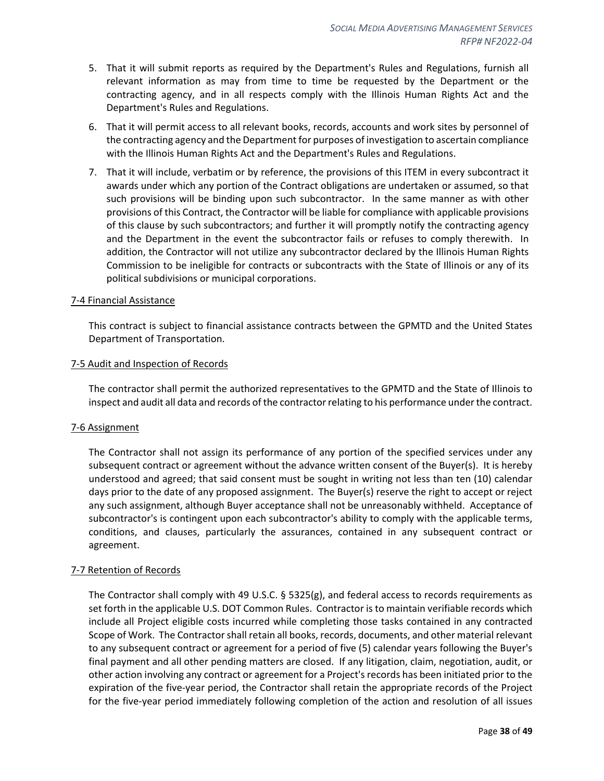- 5. That it will submit reports as required by the Department's Rules and Regulations, furnish all relevant information as may from time to time be requested by the Department or the contracting agency, and in all respects comply with the Illinois Human Rights Act and the Department's Rules and Regulations.
- 6. That it will permit access to all relevant books, records, accounts and work sites by personnel of the contracting agency and the Department for purposes of investigation to ascertain compliance with the Illinois Human Rights Act and the Department's Rules and Regulations.
- 7. That it will include, verbatim or by reference, the provisions of this ITEM in every subcontract it awards under which any portion of the Contract obligations are undertaken or assumed, so that such provisions will be binding upon such subcontractor. In the same manner as with other provisions of this Contract, the Contractor will be liable for compliance with applicable provisions of this clause by such subcontractors; and further it will promptly notify the contracting agency and the Department in the event the subcontractor fails or refuses to comply therewith. In addition, the Contractor will not utilize any subcontractor declared by the Illinois Human Rights Commission to be ineligible for contracts or subcontracts with the State of Illinois or any of its political subdivisions or municipal corporations.

#### <span id="page-37-0"></span>7-4 Financial Assistance

This contract is subject to financial assistance contracts between the GPMTD and the United States Department of Transportation.

#### <span id="page-37-1"></span>7-5 Audit and Inspection of Records

The contractor shall permit the authorized representatives to the GPMTD and the State of Illinois to inspect and audit all data and records of the contractor relating to his performance under the contract.

#### <span id="page-37-2"></span>7-6 Assignment

The Contractor shall not assign its performance of any portion of the specified services under any subsequent contract or agreement without the advance written consent of the Buyer(s). It is hereby understood and agreed; that said consent must be sought in writing not less than ten (10) calendar days prior to the date of any proposed assignment. The Buyer(s) reserve the right to accept or reject any such assignment, although Buyer acceptance shall not be unreasonably withheld. Acceptance of subcontractor's is contingent upon each subcontractor's ability to comply with the applicable terms, conditions, and clauses, particularly the assurances, contained in any subsequent contract or agreement.

#### <span id="page-37-3"></span>7-7 Retention of Records

The Contractor shall comply with 49 U.S.C.  $\S$  5325(g), and federal access to records requirements as set forth in the applicable U.S. DOT Common Rules. Contractor is to maintain verifiable records which include all Project eligible costs incurred while completing those tasks contained in any contracted Scope of Work. The Contractor shall retain all books, records, documents, and other material relevant to any subsequent contract or agreement for a period of five (5) calendar years following the Buyer's final payment and all other pending matters are closed. If any litigation, claim, negotiation, audit, or other action involving any contract or agreement for a Project's records has been initiated prior to the expiration of the five-year period, the Contractor shall retain the appropriate records of the Project for the five-year period immediately following completion of the action and resolution of all issues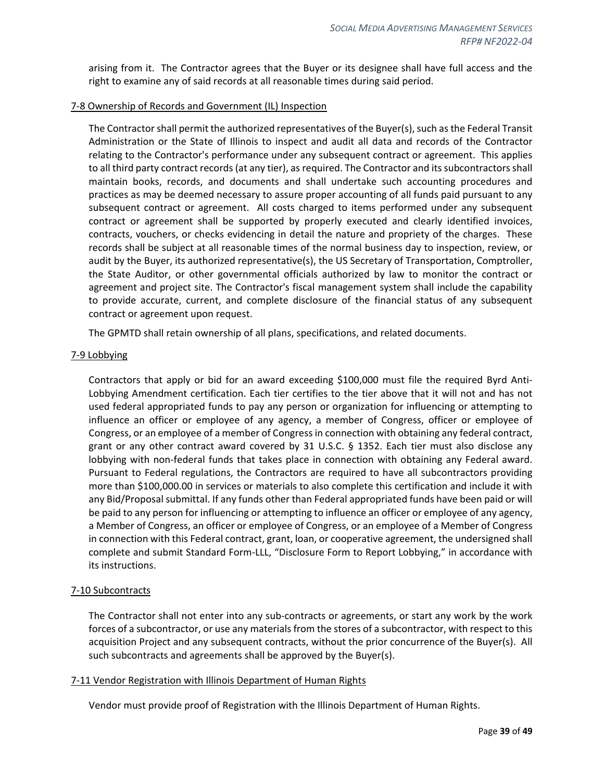arising from it. The Contractor agrees that the Buyer or its designee shall have full access and the right to examine any of said records at all reasonable times during said period.

#### <span id="page-38-0"></span>7-8 Ownership of Records and Government (IL) Inspection

The Contractor shall permit the authorized representatives of the Buyer(s), such as the Federal Transit Administration or the State of Illinois to inspect and audit all data and records of the Contractor relating to the Contractor's performance under any subsequent contract or agreement. This applies to all third party contract records (at any tier), as required. The Contractor and its subcontractors shall maintain books, records, and documents and shall undertake such accounting procedures and practices as may be deemed necessary to assure proper accounting of all funds paid pursuant to any subsequent contract or agreement. All costs charged to items performed under any subsequent contract or agreement shall be supported by properly executed and clearly identified invoices, contracts, vouchers, or checks evidencing in detail the nature and propriety of the charges. These records shall be subject at all reasonable times of the normal business day to inspection, review, or audit by the Buyer, its authorized representative(s), the US Secretary of Transportation, Comptroller, the State Auditor, or other governmental officials authorized by law to monitor the contract or agreement and project site. The Contractor's fiscal management system shall include the capability to provide accurate, current, and complete disclosure of the financial status of any subsequent contract or agreement upon request.

The GPMTD shall retain ownership of all plans, specifications, and related documents.

#### <span id="page-38-1"></span>7-9 Lobbying

Contractors that apply or bid for an award exceeding \$100,000 must file the required Byrd Anti-Lobbying Amendment certification. Each tier certifies to the tier above that it will not and has not used federal appropriated funds to pay any person or organization for influencing or attempting to influence an officer or employee of any agency, a member of Congress, officer or employee of Congress, or an employee of a member of Congress in connection with obtaining any federal contract, grant or any other contract award covered by 31 U.S.C. § 1352. Each tier must also disclose any lobbying with non-federal funds that takes place in connection with obtaining any Federal award. Pursuant to Federal regulations, the Contractors are required to have all subcontractors providing more than \$100,000.00 in services or materials to also complete this certification and include it with any Bid/Proposal submittal. If any funds other than Federal appropriated funds have been paid or will be paid to any person for influencing or attempting to influence an officer or employee of any agency, a Member of Congress, an officer or employee of Congress, or an employee of a Member of Congress in connection with this Federal contract, grant, loan, or cooperative agreement, the undersigned shall complete and submit Standard Form-LLL, "Disclosure Form to Report Lobbying," in accordance with its instructions.

#### <span id="page-38-2"></span>7-10 Subcontracts

The Contractor shall not enter into any sub-contracts or agreements, or start any work by the work forces of a subcontractor, or use any materials from the stores of a subcontractor, with respect to this acquisition Project and any subsequent contracts, without the prior concurrence of the Buyer(s). All such subcontracts and agreements shall be approved by the Buyer(s).

#### <span id="page-38-3"></span>7-11 Vendor Registration with Illinois Department of Human Rights

Vendor must provide proof of Registration with the Illinois Department of Human Rights.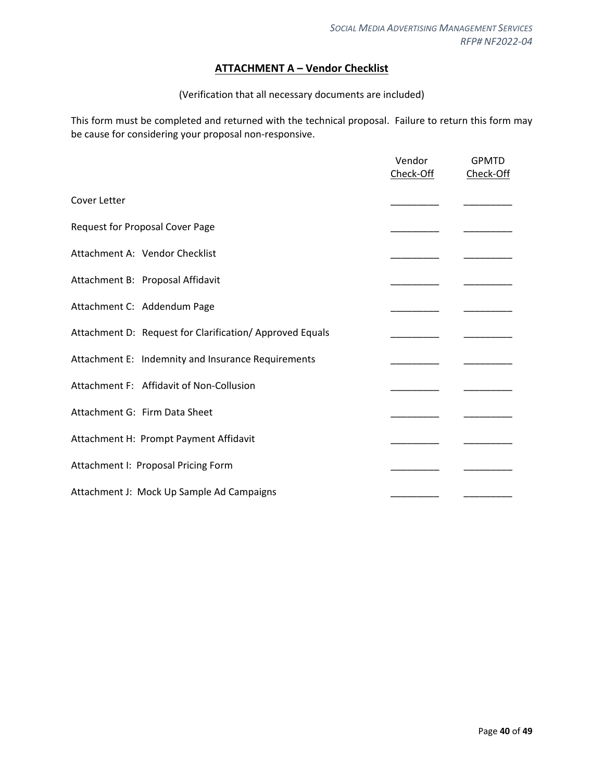## **ATTACHMENT A – Vendor Checklist**

#### (Verification that all necessary documents are included)

<span id="page-39-0"></span>This form must be completed and returned with the technical proposal. Failure to return this form may be cause for considering your proposal non-responsive.

|                                                         | Vendor<br>Check-Off | <b>GPMTD</b><br>Check-Off |
|---------------------------------------------------------|---------------------|---------------------------|
|                                                         |                     |                           |
| Cover Letter                                            |                     |                           |
| Request for Proposal Cover Page                         |                     |                           |
| Attachment A: Vendor Checklist                          |                     |                           |
| Attachment B: Proposal Affidavit                        |                     |                           |
| Attachment C: Addendum Page                             |                     |                           |
| Attachment D: Request for Clarification/Approved Equals |                     |                           |
| Attachment E: Indemnity and Insurance Requirements      |                     |                           |
| Attachment F: Affidavit of Non-Collusion                |                     |                           |
| Attachment G: Firm Data Sheet                           |                     |                           |
| Attachment H: Prompt Payment Affidavit                  |                     |                           |
| Attachment I: Proposal Pricing Form                     |                     |                           |
| Attachment J: Mock Up Sample Ad Campaigns               |                     |                           |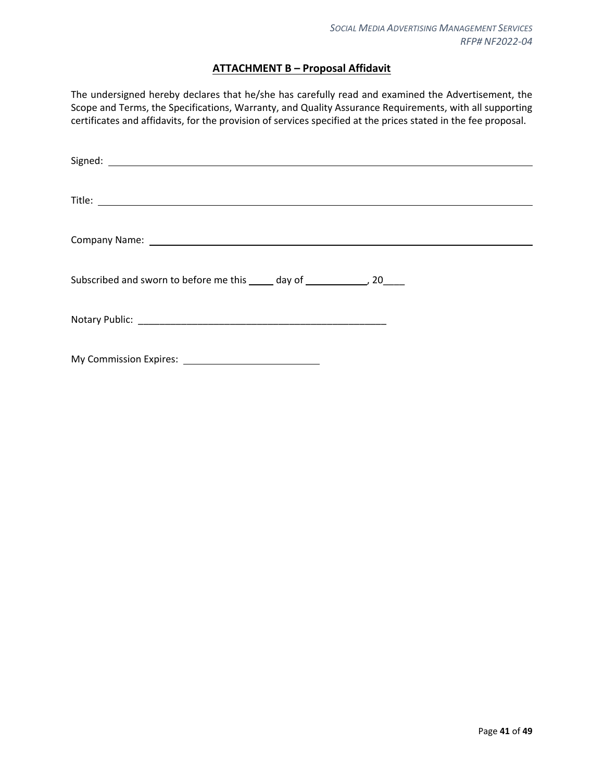## **ATTACHMENT B – Proposal Affidavit**

<span id="page-40-0"></span>The undersigned hereby declares that he/she has carefully read and examined the Advertisement, the Scope and Terms, the Specifications, Warranty, and Quality Assurance Requirements, with all supporting certificates and affidavits, for the provision of services specified at the prices stated in the fee proposal.

| Subscribed and sworn to before me this _____ day of _______________, 20_____ |
|------------------------------------------------------------------------------|
|                                                                              |
|                                                                              |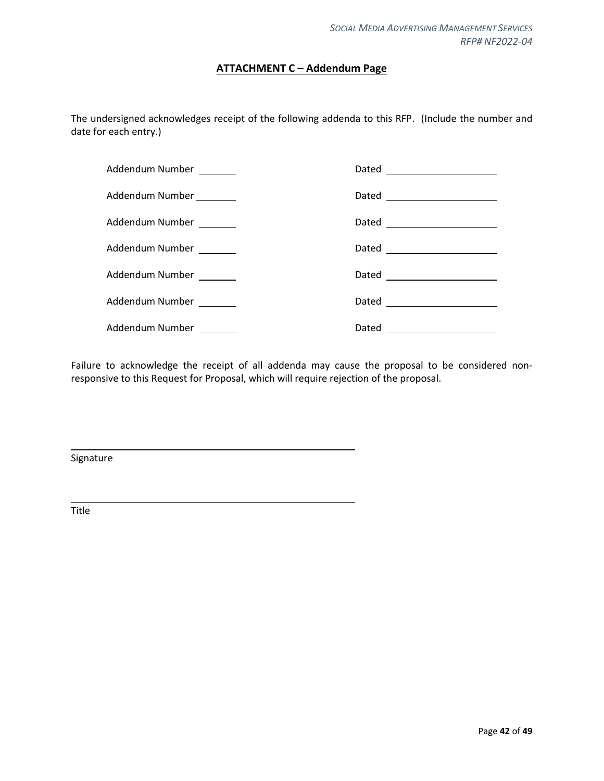## **ATTACHMENT C – Addendum Page**

<span id="page-41-0"></span>The undersigned acknowledges receipt of the following addenda to this RFP. (Include the number and date for each entry.)

| Addendum Number _______  |                              |
|--------------------------|------------------------------|
| Addendum Number ________ |                              |
| Addendum Number _______  | Dated ______________________ |
| Addendum Number _______  | Dated ______________________ |
| Addendum Number _______  | Dated ______________________ |
| Addendum Number _______  | Dated ______________________ |
| Addendum Number _______  |                              |

Failure to acknowledge the receipt of all addenda may cause the proposal to be considered nonresponsive to this Request for Proposal, which will require rejection of the proposal.

Signature

Title

L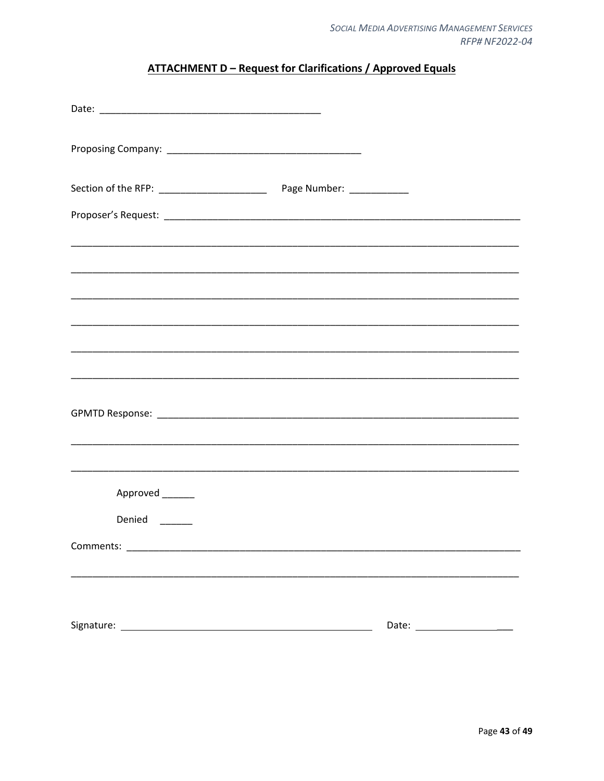## **ATTACHMENT D - Request for Clarifications / Approved Equals**

<span id="page-42-0"></span>

| <u> 1989 - Johann Harry Harry Harry Harry Harry Harry Harry Harry Harry Harry Harry Harry Harry Harry Harry Harry</u> |  |
|-----------------------------------------------------------------------------------------------------------------------|--|
|                                                                                                                       |  |
|                                                                                                                       |  |
|                                                                                                                       |  |
|                                                                                                                       |  |
|                                                                                                                       |  |
|                                                                                                                       |  |
| Approved _______                                                                                                      |  |
| Denied <sub>_____</sub>                                                                                               |  |
|                                                                                                                       |  |
|                                                                                                                       |  |
|                                                                                                                       |  |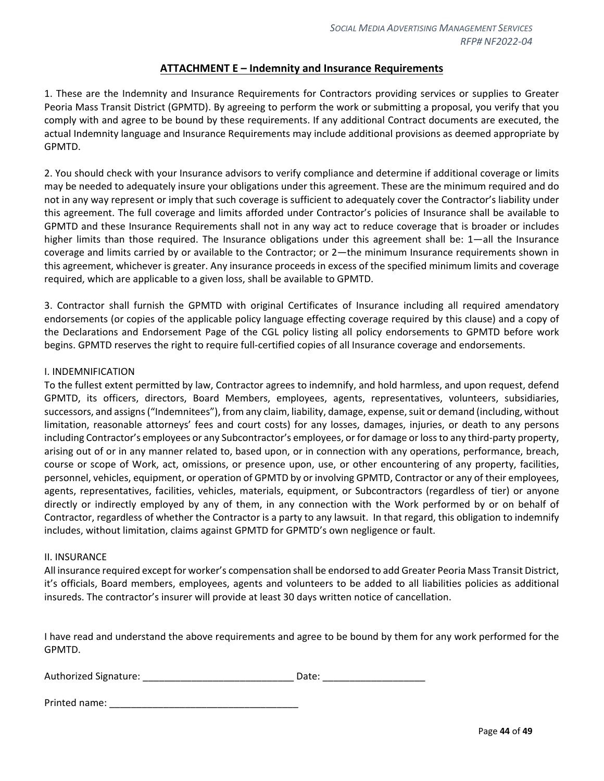#### **ATTACHMENT E – Indemnity and Insurance Requirements**

<span id="page-43-0"></span>1. These are the Indemnity and Insurance Requirements for Contractors providing services or supplies to Greater Peoria Mass Transit District (GPMTD). By agreeing to perform the work or submitting a proposal, you verify that you comply with and agree to be bound by these requirements. If any additional Contract documents are executed, the actual Indemnity language and Insurance Requirements may include additional provisions as deemed appropriate by GPMTD.

2. You should check with your Insurance advisors to verify compliance and determine if additional coverage or limits may be needed to adequately insure your obligations under this agreement. These are the minimum required and do not in any way represent or imply that such coverage is sufficient to adequately cover the Contractor's liability under this agreement. The full coverage and limits afforded under Contractor's policies of Insurance shall be available to GPMTD and these Insurance Requirements shall not in any way act to reduce coverage that is broader or includes higher limits than those required. The Insurance obligations under this agreement shall be: 1—all the Insurance coverage and limits carried by or available to the Contractor; or 2—the minimum Insurance requirements shown in this agreement, whichever is greater. Any insurance proceeds in excess of the specified minimum limits and coverage required, which are applicable to a given loss, shall be available to GPMTD.

3. Contractor shall furnish the GPMTD with original Certificates of Insurance including all required amendatory endorsements (or copies of the applicable policy language effecting coverage required by this clause) and a copy of the Declarations and Endorsement Page of the CGL policy listing all policy endorsements to GPMTD before work begins. GPMTD reserves the right to require full-certified copies of all Insurance coverage and endorsements.

#### I. INDEMNIFICATION

To the fullest extent permitted by law, Contractor agrees to indemnify, and hold harmless, and upon request, defend GPMTD, its officers, directors, Board Members, employees, agents, representatives, volunteers, subsidiaries, successors, and assigns ("Indemnitees"), from any claim, liability, damage, expense, suit or demand (including, without limitation, reasonable attorneys' fees and court costs) for any losses, damages, injuries, or death to any persons including Contractor's employees or any Subcontractor's employees, or for damage or loss to any third-party property, arising out of or in any manner related to, based upon, or in connection with any operations, performance, breach, course or scope of Work, act, omissions, or presence upon, use, or other encountering of any property, facilities, personnel, vehicles, equipment, or operation of GPMTD by or involving GPMTD, Contractor or any of their employees, agents, representatives, facilities, vehicles, materials, equipment, or Subcontractors (regardless of tier) or anyone directly or indirectly employed by any of them, in any connection with the Work performed by or on behalf of Contractor, regardless of whether the Contractor is a party to any lawsuit. In that regard, this obligation to indemnify includes, without limitation, claims against GPMTD for GPMTD's own negligence or fault.

#### II. INSURANCE

All insurance required except for worker's compensation shall be endorsed to add Greater Peoria Mass Transit District, it's officials, Board members, employees, agents and volunteers to be added to all liabilities policies as additional insureds. The contractor's insurer will provide at least 30 days written notice of cancellation.

I have read and understand the above requirements and agree to be bound by them for any work performed for the GPMTD.

| Authorized Signature: |  | Date: |  |
|-----------------------|--|-------|--|
|-----------------------|--|-------|--|

| Printed name: |  |
|---------------|--|
|               |  |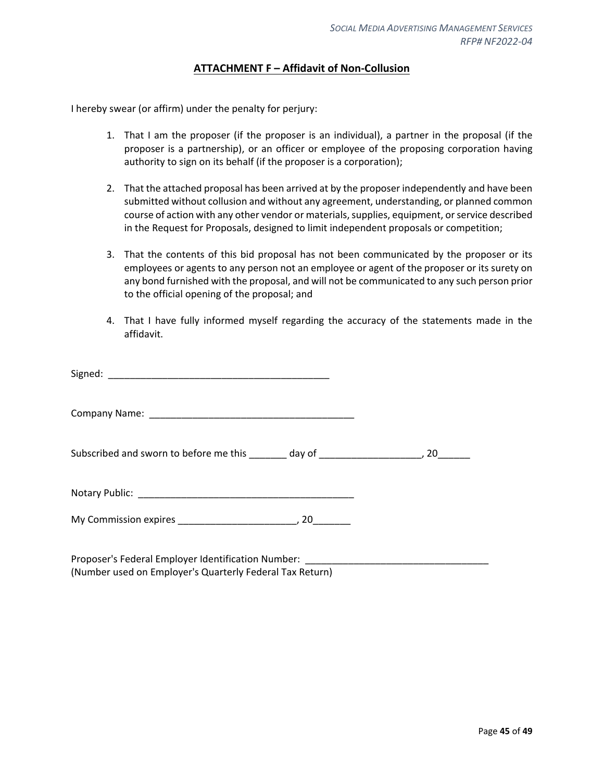## **ATTACHMENT F – Affidavit of Non-Collusion**

<span id="page-44-0"></span>I hereby swear (or affirm) under the penalty for perjury:

- 1. That I am the proposer (if the proposer is an individual), a partner in the proposal (if the proposer is a partnership), or an officer or employee of the proposing corporation having authority to sign on its behalf (if the proposer is a corporation);
- 2. That the attached proposal has been arrived at by the proposer independently and have been submitted without collusion and without any agreement, understanding, or planned common course of action with any other vendor or materials, supplies, equipment, or service described in the Request for Proposals, designed to limit independent proposals or competition;
- 3. That the contents of this bid proposal has not been communicated by the proposer or its employees or agents to any person not an employee or agent of the proposer or its surety on any bond furnished with the proposal, and will not be communicated to any such person prior to the official opening of the proposal; and
- 4. That I have fully informed myself regarding the accuracy of the statements made in the affidavit.

| Subscribed and sworn to before me this _______ day of ___________________________, 20_______ |  |
|----------------------------------------------------------------------------------------------|--|
|                                                                                              |  |
|                                                                                              |  |
|                                                                                              |  |

Proposer's Federal Employer Identification Number: (Number used on Employer's Quarterly Federal Tax Return)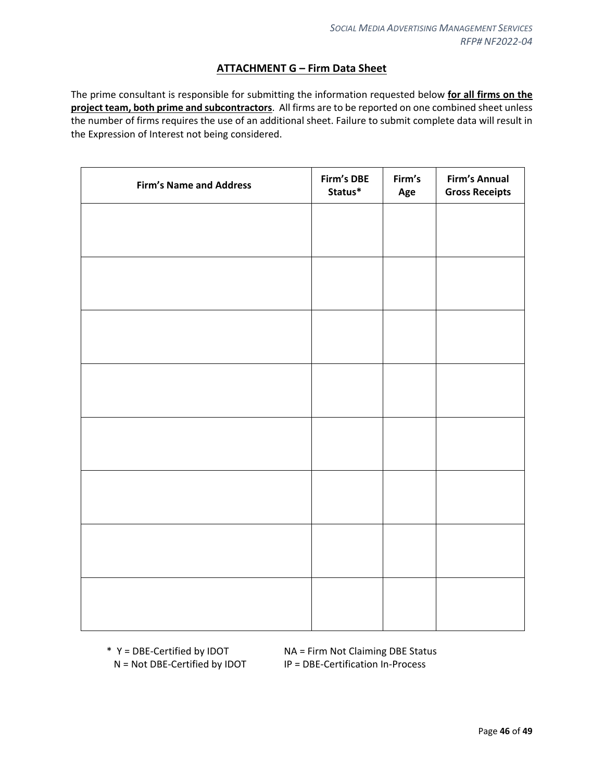## **ATTACHMENT G – Firm Data Sheet**

<span id="page-45-0"></span>The prime consultant is responsible for submitting the information requested below **for all firms on the project team, both prime and subcontractors**. All firms are to be reported on one combined sheet unless the number of firms requires the use of an additional sheet. Failure to submit complete data will result in the Expression of Interest not being considered.

| <b>Firm's Name and Address</b> | Firm's DBE<br>Status* | Firm's<br>Age | <b>Firm's Annual</b><br><b>Gross Receipts</b> |
|--------------------------------|-----------------------|---------------|-----------------------------------------------|
|                                |                       |               |                                               |
|                                |                       |               |                                               |
|                                |                       |               |                                               |
|                                |                       |               |                                               |
|                                |                       |               |                                               |
|                                |                       |               |                                               |
|                                |                       |               |                                               |
|                                |                       |               |                                               |
|                                |                       |               |                                               |
|                                |                       |               |                                               |
|                                |                       |               |                                               |
|                                |                       |               |                                               |
|                                |                       |               |                                               |
|                                |                       |               |                                               |
|                                |                       |               |                                               |
|                                |                       |               |                                               |

\* Y = DBE-Certified by IDOT NA = Firm Not Claiming DBE Status N = Not DBE-Certified by IDOT IP = DBE-Certification In-Process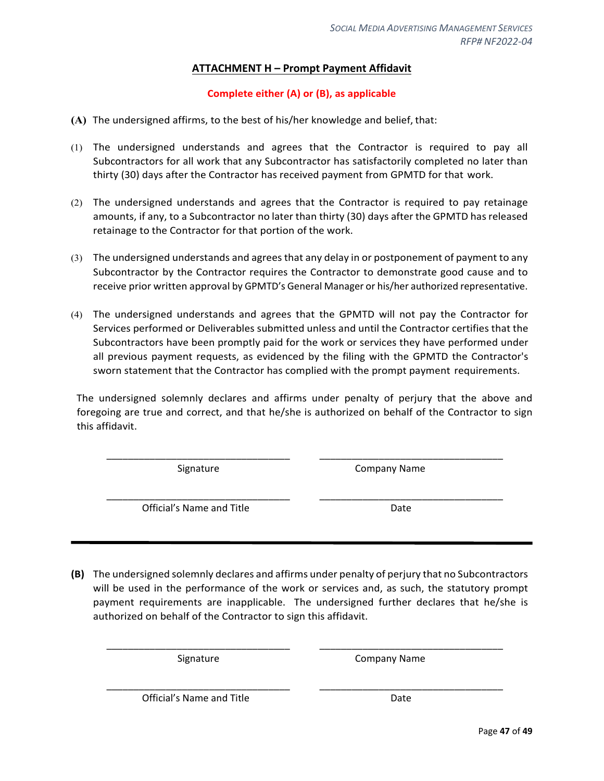## **ATTACHMENT H – Prompt Payment Affidavit**

## **Complete either (A) or (B), as applicable**

- <span id="page-46-0"></span>**(A)** The undersigned affirms, to the best of his/her knowledge and belief, that:
- (1) The undersigned understands and agrees that the Contractor is required to pay all Subcontractors for all work that any Subcontractor has satisfactorily completed no later than thirty (30) days after the Contractor has received payment from GPMTD for that work.
- (2) The undersigned understands and agrees that the Contractor is required to pay retainage amounts, if any, to a Subcontractor no later than thirty (30) days after the GPMTD hasreleased retainage to the Contractor for that portion of the work.
- (3) The undersigned understands and agrees that any delay in or postponement of payment to any Subcontractor by the Contractor requires the Contractor to demonstrate good cause and to receive prior written approval by GPMTD's General Manager or his/her authorized representative.
- (4) The undersigned understands and agrees that the GPMTD will not pay the Contractor for Services performed or Deliverables submitted unless and until the Contractor certifies that the Subcontractors have been promptly paid for the work or services they have performed under all previous payment requests, as evidenced by the filing with the GPMTD the Contractor's sworn statement that the Contractor has complied with the prompt payment requirements.

The undersigned solemnly declares and affirms under penalty of perjury that the above and foregoing are true and correct, and that he/she is authorized on behalf of the Contractor to sign this affidavit.

\_\_\_\_\_\_\_\_\_\_\_\_\_\_\_\_\_\_\_\_\_\_\_\_\_\_\_\_\_\_\_\_\_\_ \_\_\_\_\_\_\_\_\_\_\_\_\_\_\_\_\_\_\_\_\_\_\_\_\_\_\_\_\_\_\_\_\_\_

\_\_\_\_\_\_\_\_\_\_\_\_\_\_\_\_\_\_\_\_\_\_\_\_\_\_\_\_\_\_\_\_\_\_ \_\_\_\_\_\_\_\_\_\_\_\_\_\_\_\_\_\_\_\_\_\_\_\_\_\_\_\_\_\_\_\_\_\_

Signature Company Name

Official's Name and Title **Date** Date

**(B)** The undersigned solemnly declares and affirms under penalty of perjury that no Subcontractors will be used in the performance of the work or services and, as such, the statutory prompt payment requirements are inapplicable. The undersigned further declares that he/she is authorized on behalf of the Contractor to sign this affidavit.

\_\_\_\_\_\_\_\_\_\_\_\_\_\_\_\_\_\_\_\_\_\_\_\_\_\_\_\_\_\_\_\_\_\_ \_\_\_\_\_\_\_\_\_\_\_\_\_\_\_\_\_\_\_\_\_\_\_\_\_\_\_\_\_\_\_\_\_\_

\_\_\_\_\_\_\_\_\_\_\_\_\_\_\_\_\_\_\_\_\_\_\_\_\_\_\_\_\_\_\_\_\_\_ \_\_\_\_\_\_\_\_\_\_\_\_\_\_\_\_\_\_\_\_\_\_\_\_\_\_\_\_\_\_\_\_\_\_

Signature Company Name

Official's Name and Title Date Date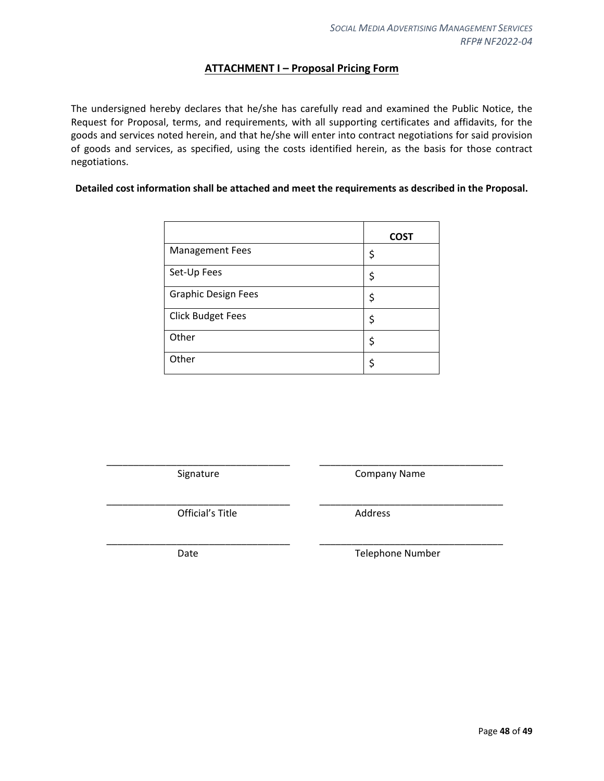## **ATTACHMENT I – Proposal Pricing Form**

<span id="page-47-0"></span>The undersigned hereby declares that he/she has carefully read and examined the Public Notice, the Request for Proposal, terms, and requirements, with all supporting certificates and affidavits, for the goods and services noted herein, and that he/she will enter into contract negotiations for said provision of goods and services, as specified, using the costs identified herein, as the basis for those contract negotiations.

#### **Detailed cost information shall be attached and meet the requirements as described in the Proposal.**

|                            | <b>COST</b> |
|----------------------------|-------------|
| <b>Management Fees</b>     | \$          |
| Set-Up Fees                | \$          |
| <b>Graphic Design Fees</b> | \$          |
| <b>Click Budget Fees</b>   | \$          |
| Other                      | \$          |
| Other                      | ς           |

\_\_\_\_\_\_\_\_\_\_\_\_\_\_\_\_\_\_\_\_\_\_\_\_\_\_\_\_\_\_\_\_\_\_ \_\_\_\_\_\_\_\_\_\_\_\_\_\_\_\_\_\_\_\_\_\_\_\_\_\_\_\_\_\_\_\_\_\_

\_\_\_\_\_\_\_\_\_\_\_\_\_\_\_\_\_\_\_\_\_\_\_\_\_\_\_\_\_\_\_\_\_\_ \_\_\_\_\_\_\_\_\_\_\_\_\_\_\_\_\_\_\_\_\_\_\_\_\_\_\_\_\_\_\_\_\_\_

\_\_\_\_\_\_\_\_\_\_\_\_\_\_\_\_\_\_\_\_\_\_\_\_\_\_\_\_\_\_\_\_\_\_ \_\_\_\_\_\_\_\_\_\_\_\_\_\_\_\_\_\_\_\_\_\_\_\_\_\_\_\_\_\_\_\_\_\_

Signature **Company Name** 

Official's Title **Address** 

Date **Telephone Number**